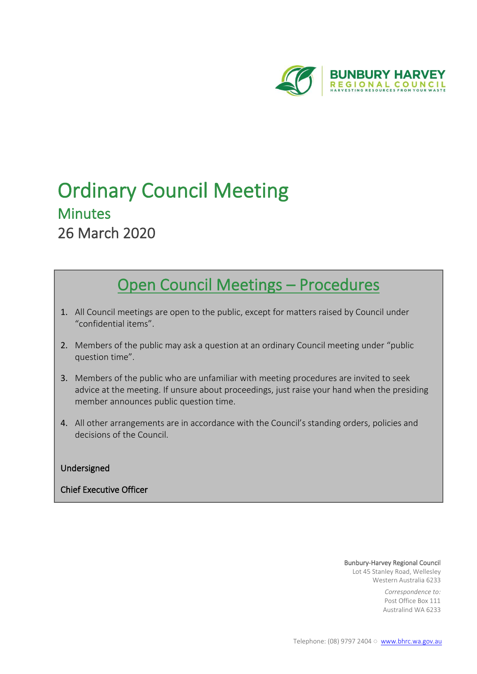

# Ordinary Council Meeting Minutes 26 March 2020

# Open Council Meetings – Procedures

- 1. All Council meetings are open to the public, except for matters raised by Council under "confidential items".
- 2. Members of the public may ask a question at an ordinary Council meeting under "public question time".
- 3. Members of the public who are unfamiliar with meeting procedures are invited to seek advice at the meeting. If unsure about proceedings, just raise your hand when the presiding member announces public question time.
- 4. All other arrangements are in accordance with the Council's standing orders, policies and decisions of the Council.

# Undersigned

# Chief Executive Officer

#### Bunbury-Harvey Regional Council

Lot 45 Stanley Road, Wellesley Western Australia 6233

> *Correspondence to:* Post Office Box 111 Australind WA 6233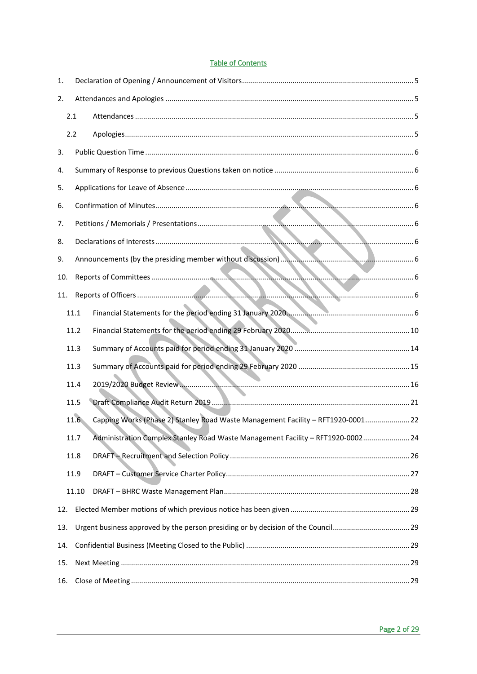# **Table of Contents**

| 1.  |       |                                                                                   |  |
|-----|-------|-----------------------------------------------------------------------------------|--|
| 2.  |       |                                                                                   |  |
|     | 2.1   |                                                                                   |  |
|     | 2.2   |                                                                                   |  |
| 3.  |       |                                                                                   |  |
| 4.  |       |                                                                                   |  |
| 5.  |       |                                                                                   |  |
| 6.  |       |                                                                                   |  |
| 7.  |       |                                                                                   |  |
| 8.  |       |                                                                                   |  |
| 9.  |       |                                                                                   |  |
| 10. |       |                                                                                   |  |
| 11. |       |                                                                                   |  |
|     | 11.1  | Financial Statements for the period ending 31 January 2020.                       |  |
|     | 11.2  |                                                                                   |  |
|     | 11.3  |                                                                                   |  |
|     | 11.3  |                                                                                   |  |
|     | 11.4  |                                                                                   |  |
|     | 11.5  |                                                                                   |  |
|     | 11.6  | Capping Works (Phase 2) Stanley Road Waste Management Facility - RFT1920-0001 22  |  |
|     | 11.7  | Administration Complex Stanley Road Waste Management Facility - RFT1920-0002 24   |  |
|     | 11.8  |                                                                                   |  |
|     | 11.9  |                                                                                   |  |
|     | 11.10 |                                                                                   |  |
| 12. |       |                                                                                   |  |
| 13. |       | Urgent business approved by the person presiding or by decision of the Council 29 |  |
| 14. |       |                                                                                   |  |
| 15. |       |                                                                                   |  |
| 16. |       |                                                                                   |  |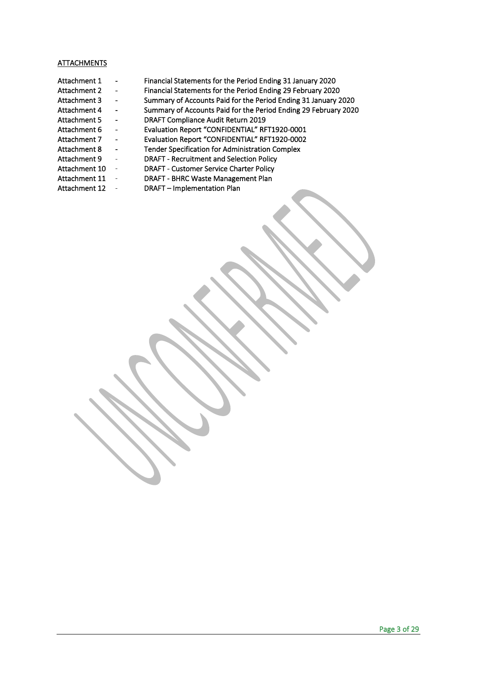#### ATTACHMENTS

- Attachment 1 Financial Statements for the Period Ending 31 January 2020 Attachment 2 - Financial Statements for the Period Ending 29 February 2020 Attachment 3 - Summary of Accounts Paid for the Period Ending 31 January 2020 Attachment 4 - Summary of Accounts Paid for the Period Ending 29 February 2020<br>Attachment 5 - DRAFT Compliance Audit Return 2019 Attachment 5 - DRAFT Compliance Audit Return 2019<br>Attachment 6 - Evaluation Report "CONFIDENTIAL" RF Attachment 7 - Evaluation Report "CONFIDENTIAL" RFT1920-0002<br>Attachment 8 - Tender Specification for Administration Complex
- Tender Specification for Administration Complex Attachment 9 - DRAFT - Recruitment and Selection Policy

- Evaluation Report "CONFIDENTIAL" RFT1920-0001

- Attachment 10 DRAFT Customer Service Charter Policy
	-
- 
- Attachment 11 DRAFT BHRC Waste Management Plan<br>Attachment 12 DRAFT Implementation Plan - DRAFT – Implementation Plan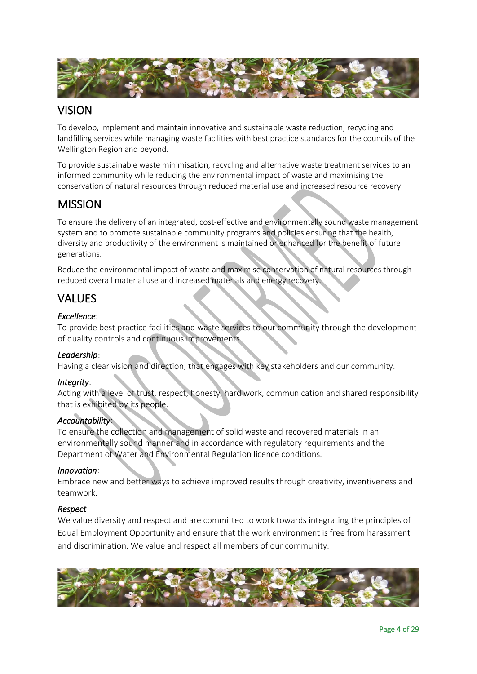

# VISION

To develop, implement and maintain innovative and sustainable waste reduction, recycling and landfilling services while managing waste facilities with best practice standards for the councils of the Wellington Region and beyond.

To provide sustainable waste minimisation, recycling and alternative waste treatment services to an informed community while reducing the environmental impact of waste and maximising the conservation of natural resources through reduced material use and increased resource recovery

# MISSION

To ensure the delivery of an integrated, cost-effective and environmentally sound waste management system and to promote sustainable community programs and policies ensuring that the health, diversity and productivity of the environment is maintained or enhanced for the benefit of future generations.

Reduce the environmental impact of waste and maximise conservation of natural resources through reduced overall material use and increased materials and energy recovery.

# VALUES

# *Excellence*:

To provide best practice facilities and waste services to our community through the development of quality controls and continuous improvements.

# *Leadership*:

Having a clear vision and direction, that engages with key stakeholders and our community.

# *Integrity*:

Acting with a level of trust, respect, honesty, hard work, communication and shared responsibility that is exhibited by its people.

# *Accountability*:

To ensure the collection and management of solid waste and recovered materials in an environmentally sound manner and in accordance with regulatory requirements and the Department of Water and Environmental Regulation licence conditions.

# *Innovation*:

Embrace new and better ways to achieve improved results through creativity, inventiveness and teamwork.

# *Respect*

We value diversity and respect and are committed to work towards integrating the principles of Equal Employment Opportunity and ensure that the work environment is free from harassment and discrimination. We value and respect all members of our community.

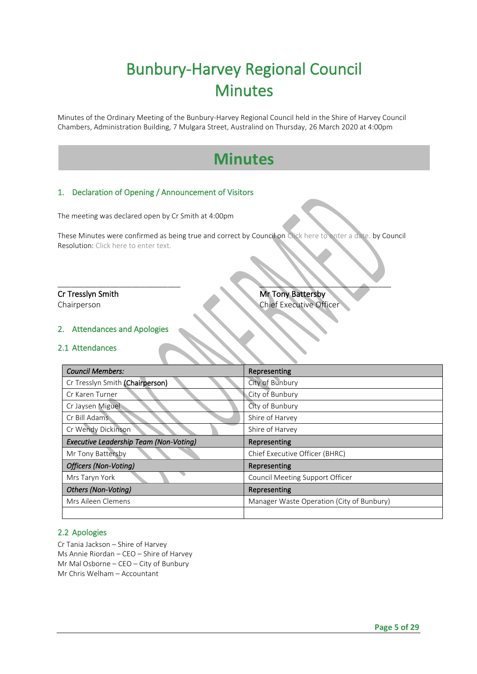# Bunbury-Harvey Regional Council **Minutes**

Minutes of the Ordinary Meeting of the Bunbury-Harvey Regional Council held in the Shire of Harvey Council Chambers, Administration Building, 7 Mulgara Street, Australind on Thursday, 26 March 2020 at 4:00pm

# **Minutes**

# <span id="page-4-0"></span>1. Declaration of Opening / Announcement of Visitors

The meeting was declared open by Cr Smith at 4:00pm

These Minutes were confirmed as being true and correct by Council on Click here to enter a date. by Council Resolution: Click here to enter text.

\_\_\_\_\_\_\_\_\_\_\_\_\_\_\_\_\_\_\_\_\_\_\_\_\_\_\_\_ \_\_\_\_\_\_\_\_\_\_\_\_\_\_\_\_\_\_\_\_\_\_\_\_\_\_\_\_\_\_

**Cr Tresslyn Smith Mr Tony Battersby** Chairperson Chairperson Chairperson Chairperson

#### <span id="page-4-1"></span>2. Attendances and Apologies

#### <span id="page-4-2"></span>2.1 Attendances

| <b>Council Members:</b>                       | Representing                              |
|-----------------------------------------------|-------------------------------------------|
| Cr Tresslyn Smith (Chairperson)               | City of Bunbury                           |
| Cr Karen Turner                               | City of Bunbury                           |
| Cr Jaysen Miguel                              | City of Bunbury                           |
| Cr Bill Adams                                 | Shire of Harvey                           |
| Cr Wendy Dickinson                            | Shire of Harvey                           |
| <b>Executive Leadership Team (Non-Voting)</b> | Representing                              |
| Mr Tony Battersby                             | Chief Executive Officer (BHRC)            |
| <b>Officers (Non-Voting)</b>                  | Representing                              |
| Mrs Taryn York                                | Council Meeting Support Officer           |
| Others (Non-Voting)                           | Representing                              |
| Mrs Aileen Clemens                            | Manager Waste Operation (City of Bunbury) |
|                                               |                                           |

#### <span id="page-4-3"></span>2.2 Apologies

Cr Tania Jackson – Shire of Harvey Ms Annie Riordan – CEO – Shire of Harvey Mr Mal Osborne – CEO – City of Bunbury Mr Chris Welham – Accountant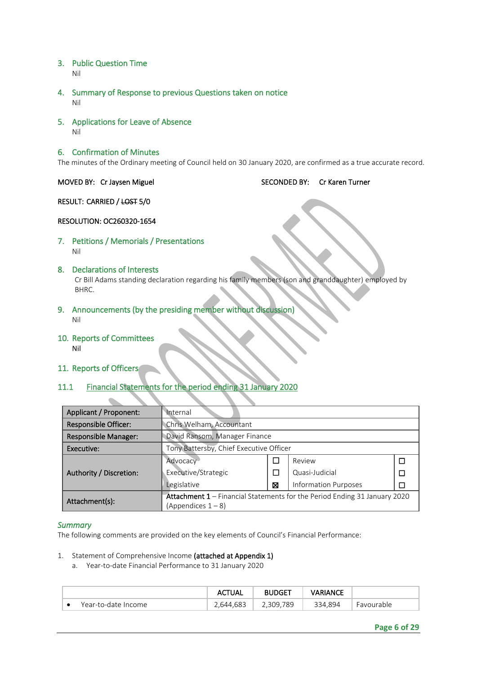- <span id="page-5-0"></span>3. Public Question Time Nil
- <span id="page-5-1"></span>4. Summary of Response to previous Questions taken on notice Nil
- <span id="page-5-2"></span>5. Applications for Leave of Absence Nil

#### <span id="page-5-3"></span>6. Confirmation of Minutes

The minutes of the Ordinary meeting of Council held on 30 January 2020, are confirmed as a true accurate record.

MOVED BY: Cr Jaysen Miguel SECONDED BY: Cr Karen Turner

RESULT: CARRIED / LOST 5/0

#### RESOLUTION: OC260320-1654

<span id="page-5-4"></span>7. Petitions / Memorials / Presentations Nil

#### <span id="page-5-5"></span>8. Declarations of Interests Cr Bill Adams standing declaration regarding his family members (son and granddaughter) employed by BHRC.

- <span id="page-5-6"></span>9. Announcements (by the presiding member without discussion) Nil
- <span id="page-5-7"></span>10. Reports of Committees Nil
- <span id="page-5-8"></span>11. Reports of Officers

#### <span id="page-5-9"></span>11.1 Financial Statements for the period ending 31 January 2020

| Applicant / Proponent:      | Internal                                |   |                                                                           |  |  |
|-----------------------------|-----------------------------------------|---|---------------------------------------------------------------------------|--|--|
| <b>Responsible Officer:</b> | Chris Welham, Accountant                |   |                                                                           |  |  |
| Responsible Manager:        | David Ransom, Manager Finance           |   |                                                                           |  |  |
| Executive:                  | Tony Battersby, Chief Executive Officer |   |                                                                           |  |  |
|                             | Advocacy                                |   | Review                                                                    |  |  |
| Authority / Discretion:     | Executive/Strategic                     |   | Quasi-Judicial                                                            |  |  |
|                             | Legislative                             | ⊠ | <b>Information Purposes</b>                                               |  |  |
| Attachment(s):              |                                         |   | Attachment 1 - Financial Statements for the Period Ending 31 January 2020 |  |  |
|                             | (Appendices 1 – 8)                      |   |                                                                           |  |  |

#### *Summary*

The following comments are provided on the key elements of Council's Financial Performance:

- 1. Statement of Comprehensive Income (attached at Appendix 1)
	- a. Year-to-date Financial Performance to 31 January 2020

|                     | ACTUAL   | <b>BUDGET</b>               | VARIANCE            |                   |
|---------------------|----------|-----------------------------|---------------------|-------------------|
| Year-to-date Income | .644.683 | 789<br>309<br><u>L.JUJ.</u> | <sup>?</sup> 34.894 | <b>Favourable</b> |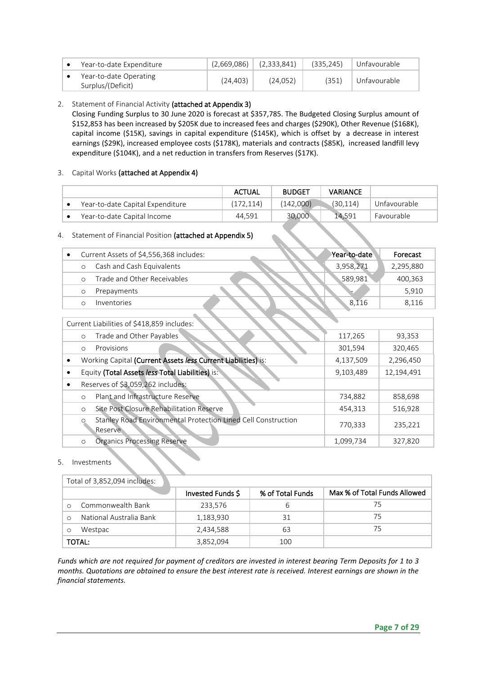| Year-to-date Expenditure                    | (2,669,086) | (2,333,841) | (335.245) | Unfavourable |
|---------------------------------------------|-------------|-------------|-----------|--------------|
| Year-to-date Operating<br>Surplus/(Deficit) | (24, 403)   | (24,052)    | (351)     | Unfavourable |

#### 2. Statement of Financial Activity (attached at Appendix 3)

Closing Funding Surplus to 30 June 2020 is forecast at \$357,785. The Budgeted Closing Surplus amount of \$152,853 has been increased by \$205K due to increased fees and charges (\$290K), Other Revenue (\$168K), capital income (\$15K), savings in capital expenditure (\$145K), which is offset by a decrease in interest earnings (\$29K), increased employee costs (\$178K), materials and contracts (\$85K), increased landfill levy expenditure (\$104K), and a net reduction in transfers from Reserves (\$17K).

#### 3. Capital Works (attached at Appendix 4)

|                                  | <b>ACTUAL</b> | <b>BUDGET</b> | <b>VARIANCE</b> |              |
|----------------------------------|---------------|---------------|-----------------|--------------|
| Year-to-date Capital Expenditure | (172, 114)    | (142,000)     | (30, 114)       | Unfavourable |
| Year-to-date Capital Income      | 44,591        | 30,000        | 14.591          | Favourable   |

# 4. Statement of Financial Position (attached at Appendix 5)

|  | Current Assets of \$4,556,368 includes: | Year-to-date | Forecast  |
|--|-----------------------------------------|--------------|-----------|
|  | Cash and Cash Equivalents               | 3,958,271    | 2,295,880 |
|  | Trade and Other Receivables             | 589.981      | 400,363   |
|  | Prepayments                             | ⊢            | 5.910     |
|  | <i>Inventories</i>                      | 8,116        | 8.116     |

# Current Liabilities of \$418,859 includes:

|           | Trade and Other Payables<br>$\circ$                                           | 117,265   | 93,353     |
|-----------|-------------------------------------------------------------------------------|-----------|------------|
|           | Provisions<br>$\circ$                                                         | 301,594   | 320,465    |
| $\bullet$ | Working Capital (Current Assets less Current Liabilities) is:                 | 4,137,509 | 2,296,450  |
|           | Equity (Total Assets less Total Liabilities) is:                              | 9,103,489 | 12,194,491 |
| $\bullet$ | Reserves of \$3,059,262 includes:                                             |           |            |
|           | Plant and Infrastructure Reserve<br>$\circ$                                   | 734,882   | 858,698    |
|           | Site Post Closure Rehabilitation Reserve<br>$\circ$                           | 454,313   | 516,928    |
|           | Stanley Road Environmental Protection Lined Cell Construction<br>O<br>Reserve | 770,333   | 235,221    |
|           | <b>Organics Processing Reserve</b><br>$\circ$                                 | 1,099,734 | 327,820    |

#### 5. Investments

|               | Total of 3,852,094 includes: |                   |                  |                              |  |  |  |
|---------------|------------------------------|-------------------|------------------|------------------------------|--|--|--|
|               |                              | Invested Funds \$ | % of Total Funds | Max % of Total Funds Allowed |  |  |  |
|               | Commonwealth Bank            | 233,576           | b                | 75                           |  |  |  |
|               | National Australia Bank      | 1,183,930         | 31               | 75                           |  |  |  |
|               | Westpac                      | 2,434,588         | 63               | 75                           |  |  |  |
| <b>TOTAL:</b> |                              | 3,852,094         | 100              |                              |  |  |  |

*Funds which are not required for payment of creditors are invested in interest bearing Term Deposits for 1 to 3 months. Quotations are obtained to ensure the best interest rate is received. Interest earnings are shown in the financial statements.*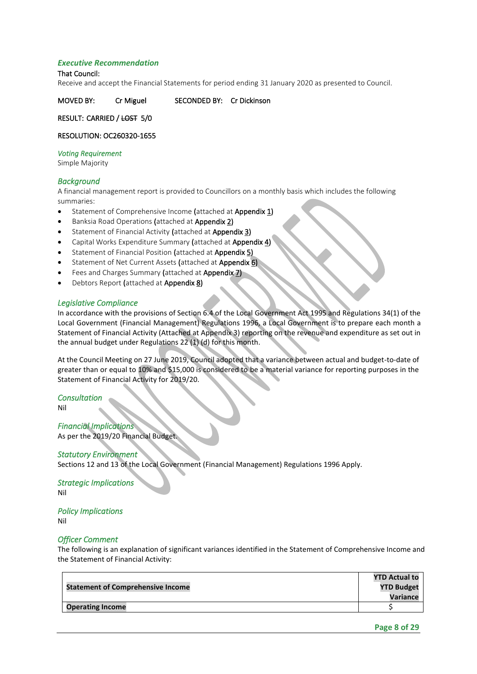#### *Executive Recommendation*

#### That Council:

Receive and accept the Financial Statements for period ending31 January 2020 as presented to Council.

MOVED BY: Cr Miguel SECONDED BY: Cr Dickinson

RESULT: CARRIED / LOST 5/0

#### RESOLUTION: OC260320-1655

#### *Voting Requirement*

Simple Majority

#### *Background*

A financial management report is provided to Councillors on a monthly basis which includes the following summaries:

- Statement of Comprehensive Income (attached at Appendix 1)
- Banksia Road Operations (attached at Appendix 2)
- Statement of Financial Activity (attached at Appendix 3)
- Capital Works Expenditure Summary (attached at Appendix 4)
- Statement of Financial Position (attached at Appendix 5)
- Statement of Net Current Assets (attached at Appendix 6)
- Fees and Charges Summary (attached at Appendix 7)
- Debtors Report (attached at Appendix 8)

#### *Legislative Compliance*

In accordance with the provisions of Section 6.4 of the Local Government Act 1995 and Regulations 34(1) of the Local Government (Financial Management) Regulations 1996, a Local Government is to prepare each month a Statement of Financial Activity (Attached at Appendix 3) reporting on the revenue and expenditure as set out in the annual budget under Regulations 22 (1) (d) for this month.

At the Council Meeting on 27 June 2019, Council adopted that a variance between actual and budget-to-date of greater than or equal to 10% and \$15,000 is considered to be a material variance for reporting purposes in the Statement of Financial Activity for 2019/20.

*Consultation* Nil

*Financial Implications*  As per the 2019/20 Financial Budget.

#### *Statutory Environment*

Sections 12 and 13 of the Local Government (Financial Management) Regulations 1996 Apply.

*Strategic Implications*  Nil

# *Policy Implications*

Nil

#### *Officer Comment*

The following is an explanation of significant variances identified in the Statement of Comprehensive Income and the Statement of Financial Activity:

|                                          | <b>YTD Actual to</b> |
|------------------------------------------|----------------------|
| <b>Statement of Comprehensive Income</b> | <b>YTD Budget</b>    |
|                                          | Variance             |
| <b>Operating Income</b>                  |                      |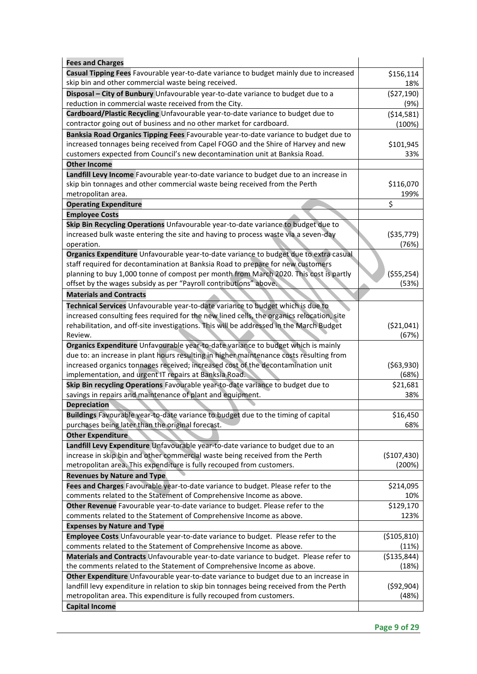| <b>Fees and Charges</b>                                                                   |               |
|-------------------------------------------------------------------------------------------|---------------|
| Casual Tipping Fees Favourable year-to-date variance to budget mainly due to increased    | \$156,114     |
| skip bin and other commercial waste being received.                                       | 18%           |
| Disposal - City of Bunbury Unfavourable year-to-date variance to budget due to a          | (527, 190)    |
| reduction in commercial waste received from the City.                                     | (9%)          |
| Cardboard/Plastic Recycling Unfavourable year-to-date variance to budget due to           | (514, 581)    |
| contractor going out of business and no other market for cardboard.                       | (100%)        |
| Banksia Road Organics Tipping Fees Favourable year-to-date variance to budget due to      |               |
| increased tonnages being received from Capel FOGO and the Shire of Harvey and new         | \$101,945     |
| customers expected from Council's new decontamination unit at Banksia Road.               | 33%           |
| <b>Other Income</b>                                                                       |               |
| Landfill Levy Income Favourable year-to-date variance to budget due to an increase in     |               |
| skip bin tonnages and other commercial waste being received from the Perth                | \$116,070     |
| metropolitan area.                                                                        | 199%          |
| <b>Operating Expenditure</b>                                                              | \$            |
| <b>Employee Costs</b>                                                                     |               |
| Skip Bin Recycling Operations Unfavourable year-to-date variance to budget due to         |               |
| increased bulk waste entering the site and having to process waste via a seven-day        | ( \$35,779)   |
| operation.                                                                                | (76%)         |
| Organics Expenditure Unfavourable year-to-date variance to budget due to extra casual     |               |
| staff required for decontamination at Banksia Road to prepare for new customers           |               |
| planning to buy 1,000 tonne of compost per month from March 2020. This cost is partly     | ( \$55, 254)  |
| offset by the wages subsidy as per "Payroll contributions" above.                         | (53%)         |
| <b>Materials and Contracts</b>                                                            |               |
| Technical Services Unfavourable year-to-date variance to budget which is due to           |               |
| increased consulting fees required for the new lined cells, the organics relocation, site |               |
| rehabilitation, and off-site investigations. This will be addressed in the March Budget   | (521, 041)    |
| Review.                                                                                   | (67%)         |
| Organics Expenditure Unfavourable year-to-date variance to budget which is mainly         |               |
| due to: an increase in plant hours resulting in higher maintenance costs resulting from   |               |
| increased organics tonnages received; increased cost of the decontamination unit          | ( \$63, 930)  |
| implementation, and urgent IT repairs at Banksia Road.                                    | (68%)         |
| Skip Bin recycling Operations Favourable year-to-date variance to budget due to           | \$21,681      |
| savings in repairs and maintenance of plant and equipment.                                | 38%           |
| <b>Depreciation</b>                                                                       |               |
| Buildings Favourable year-to-date variance to budget due to the timing of capital         | \$16,450      |
| purchases being later than the original forecast.                                         | 68%           |
| <b>Other Expenditure</b>                                                                  |               |
| Landfill Levy Expenditure Unfavourable year-to-date variance to budget due to an          |               |
| increase in skip bin and other commercial waste being received from the Perth             | (\$107,430)   |
| metropolitan area. This expenditure is fully recouped from customers.                     | (200%)        |
| <b>Revenues by Nature and Type</b>                                                        |               |
| Fees and Charges Favourable year-to-date variance to budget. Please refer to the          | \$214,095     |
| comments related to the Statement of Comprehensive Income as above.                       | 10%           |
| Other Revenue Favourable year-to-date variance to budget. Please refer to the             | \$129,170     |
| comments related to the Statement of Comprehensive Income as above.                       | 123%          |
| <b>Expenses by Nature and Type</b>                                                        |               |
| Employee Costs Unfavourable year-to-date variance to budget. Please refer to the          | ( \$105, 810) |
| comments related to the Statement of Comprehensive Income as above.                       | (11%)         |
| Materials and Contracts Unfavourable year-to-date variance to budget. Please refer to     | ( \$135, 844) |
| the comments related to the Statement of Comprehensive Income as above.                   | (18%)         |
| Other Expenditure Unfavourable year-to-date variance to budget due to an increase in      |               |
| landfill levy expenditure in relation to skip bin tonnages being received from the Perth  | (592, 904)    |
| metropolitan area. This expenditure is fully recouped from customers.                     | (48%)         |
| <b>Capital Income</b>                                                                     |               |

 $\ddot{\phantom{a}}$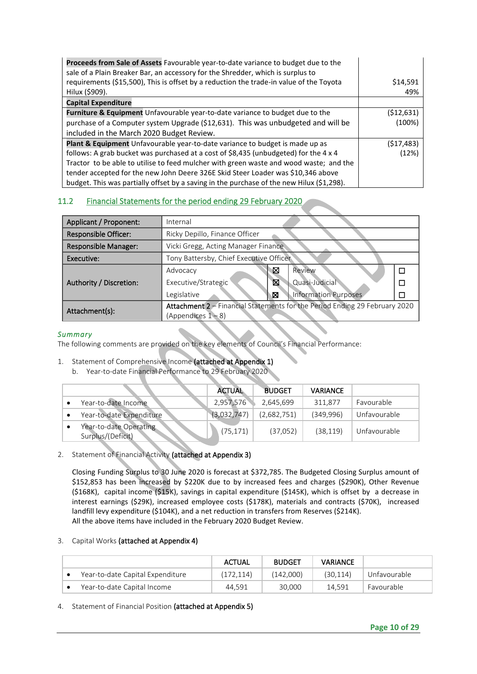| Proceeds from Sale of Assets Favourable year-to-date variance to budget due to the        |            |
|-------------------------------------------------------------------------------------------|------------|
| sale of a Plain Breaker Bar, an accessory for the Shredder, which is surplus to           |            |
| requirements (\$15,500), This is offset by a reduction the trade-in value of the Toyota   | \$14,591   |
| Hilux (\$909).                                                                            | 49%        |
| <b>Capital Expenditure</b>                                                                |            |
| <b>Furniture &amp; Equipment</b> Unfavourable year-to-date variance to budget due to the  | (\$12,631) |
| purchase of a Computer system Upgrade (\$12,631). This was unbudgeted and will be         | (100%)     |
| included in the March 2020 Budget Review.                                                 |            |
| Plant & Equipment Unfavourable year-to-date variance to budget is made up as              | (\$17,483) |
| follows: A grab bucket was purchased at a cost of \$8,435 (unbudgeted) for the 4 x 4      | (12%)      |
| Tractor to be able to utilise to feed mulcher with green waste and wood waste; and the    |            |
| tender accepted for the new John Deere 326E Skid Steer Loader was \$10,346 above          |            |
| budget. This was partially offset by a saving in the purchase of the new Hilux (\$1,298). |            |

# <span id="page-9-0"></span>11.2 Financial Statements for the period ending 29 February 2020

| Applicant / Proponent:      | Internal                                                                   |   |                             |  |  |
|-----------------------------|----------------------------------------------------------------------------|---|-----------------------------|--|--|
| <b>Responsible Officer:</b> | Ricky Depillo, Finance Officer                                             |   |                             |  |  |
| Responsible Manager:        | Vicki Gregg, Acting Manager Finance                                        |   |                             |  |  |
| Executive:                  | Tony Battersby, Chief Executive Officer                                    |   |                             |  |  |
|                             | Advocacy                                                                   | ⊠ | Review                      |  |  |
| Authority / Discretion:     | Executive/Strategic                                                        | X | Quasi-Judicial              |  |  |
|                             | Legislative                                                                | ⊠ | <b>Information Purposes</b> |  |  |
| Attachment(s):              | Attachment 2 - Financial Statements for the Period Ending 29 February 2020 |   |                             |  |  |
|                             | (Appendices $1 - 8$ )                                                      |   |                             |  |  |

#### *Summary*

The following comments are provided on the key elements of Council's Financial Performance:

#### 1. Statement of Comprehensive Income (attached at Appendix 1)

b. Year-to-date Financial Performance to 29 February 2020

|                                             | <b>ACTUAL</b> | <b>BUDGET</b> | <b>VARIANCE</b> |              |
|---------------------------------------------|---------------|---------------|-----------------|--------------|
| Year-to-date Income                         | 2,957,576     | 2,645,699     | 311.877         | Favourable   |
| Year-to-date Expenditure                    | (3,032,747)   | (2,682,751)   | (349.996)       | Unfavourable |
| Year-to-date Operating<br>Surplus/(Deficit) | (75, 171)     | (37,052)      | (38, 119)       | Unfavourable |

#### 2. Statement of Financial Activity (attached at Appendix 3)

Closing Funding Surplus to 30 June 2020 is forecast at \$372,785. The Budgeted Closing Surplus amount of \$152,853 has been increased by \$220K due to by increased fees and charges (\$290K), Other Revenue (\$168K), capital income (\$15K), savings in capital expenditure (\$145K), which is offset by a decrease in interest earnings (\$29K), increased employee costs (\$178K), materials and contracts (\$70K), increased landfill levy expenditure (\$104K), and a net reduction in transfers from Reserves (\$214K). All the above items have included in the February 2020 Budget Review.

#### 3. Capital Works (attached at Appendix 4)

|  |                                  | <b>ACTUAL</b> | <b>BUDGET</b> | <b>VARIANCE</b> |              |
|--|----------------------------------|---------------|---------------|-----------------|--------------|
|  | Year-to-date Capital Expenditure | (172.114)     | (142.000)     | (30.114)        | Unfavourable |
|  | Year-to-date Capital Income      | 44.591        | 30,000        | 14.591          | Favourable   |

#### 4. Statement of Financial Position (attached at Appendix 5)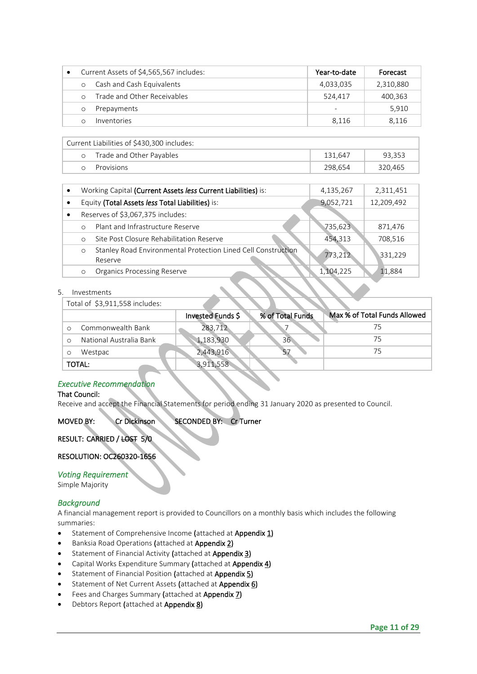| Current Assets of \$4,565,567 includes: |                             | Year-to-date | Forecast  |
|-----------------------------------------|-----------------------------|--------------|-----------|
| $\Omega$                                | Cash and Cash Equivalents   | 4,033,035    | 2,310,880 |
|                                         | Trade and Other Receivables | 524,417      | 400,363   |
|                                         | Prepayments                 |              | 5,910     |
|                                         | Inventories                 | 8.116        | 8.116     |

|         | Current Liabilities of \$430,300 includes: |         |         |  |  |  |
|---------|--------------------------------------------|---------|---------|--|--|--|
| $\circ$ | Trade and Other Payables                   | 131.647 | 93.353  |  |  |  |
| $\cap$  | Provisions                                 | 298.654 | 320.465 |  |  |  |

|                                                     | Working Capital (Current Assets less Current Liabilities) is: | 4,135,267  | 2,311,451 |
|-----------------------------------------------------|---------------------------------------------------------------|------------|-----------|
| Equity (Total Assets less Total Liabilities) is:    | 9,052,721                                                     | 12,209,492 |           |
| Reserves of \$3,067,375 includes:                   |                                                               |            |           |
| Plant and Infrastructure Reserve<br>$\Omega$        |                                                               | 735,623    | 871,476   |
| Site Post Closure Rehabilitation Reserve<br>$\circ$ |                                                               | 454,313    | 708,516   |
| $\circ$<br>Reserve                                  | Stanley Road Environmental Protection Lined Cell Construction | 773,212    | 331,229   |
| <b>Organics Processing Reserve</b><br>$\circ$       |                                                               | 1,104,225  | 11,884    |

#### 5. Investments

Total of \$3,911,558 includes:

|                         | Invested Funds \$ | % of Total Funds | Max % of Total Funds Allowed |
|-------------------------|-------------------|------------------|------------------------------|
| Commonwealth Bank       | 283,712           |                  | 75                           |
| National Australia Bank | 1,183,930         | 36 <sup>2</sup>  | 75                           |
| Westpac                 | 2,443,916         |                  | 75                           |
| TOTAL:                  | 3,911,558         |                  |                              |

# *Executive Recommendation*

#### That Council:

Receive and accept the Financial Statements for period ending31 January 2020 as presented to Council.

#### MOVED BY: Cr Dickinson SECONDED BY: Cr Turner

#### RESULT: CARRIED / LOST 5/0

#### RESOLUTION: OC260320-1656

#### *Voting Requirement*

Simple Majority

#### *Background*

A financial management report is provided to Councillors on a monthly basis which includes the following summaries:

- Statement of Comprehensive Income (attached at Appendix 1)
- Banksia Road Operations (attached at Appendix 2)
- Statement of Financial Activity (attached at Appendix 3)
- Capital Works Expenditure Summary (attached at Appendix 4)
- Statement of Financial Position (attached at Appendix 5)
- Statement of Net Current Assets (attached at Appendix 6)
- Fees and Charges Summary (attached at Appendix 7)
- Debtors Report (attached at Appendix 8)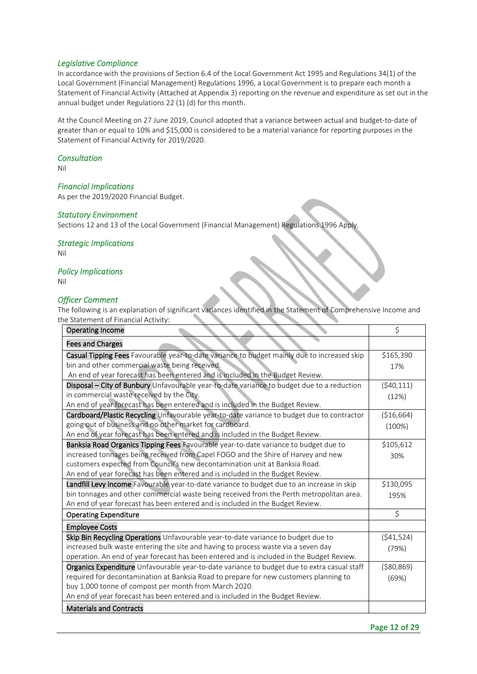#### *Legislative Compliance*

In accordance with the provisions of Section 6.4 of the Local Government Act 1995 and Regulations 34(1) of the Local Government (Financial Management) Regulations 1996, a Local Government is to prepare each month a Statement of Financial Activity (Attached at Appendix 3) reporting on the revenue and expenditure as set out in the annual budget under Regulations 22 (1) (d) for this month.

At the Council Meeting on 27 June 2019, Council adopted that a variance between actual and budget-to-date of greater than or equal to 10% and \$15,000 is considered to be a material variance for reporting purposes in the Statement of Financial Activity for 2019/2020.

#### *Consultation*

Nil

#### *Financial Implications*

As per the 2019/2020 Financial Budget.

#### *Statutory Environment*

Sections 12 and 13 of the Local Government (Financial Management) Regulations 1996 Apply.

*Strategic Implications*  Nil

#### *Policy Implications*

Nil

#### *Officer Comment*

The following is an explanation of significant variances identified in the Statement of Comprehensive Income and the Statement of Financial Activity:

| <b>Operating Income</b>                                                                     | \$           |
|---------------------------------------------------------------------------------------------|--------------|
| <b>Fees and Charges</b>                                                                     |              |
| Casual Tipping Fees Favourable year-to-date variance to budget mainly due to increased skip | \$165,390    |
| bin and other commercial waste being received.                                              | 17%          |
| An end of year forecast has been entered and is included in the Budget Review.              |              |
| Disposal - City of Bunbury Unfavourable year-to-date variance to budget due to a reduction  | (540, 111)   |
| in commercial waste received by the City.                                                   | (12%)        |
| An end of year forecast has been entered and is included in the Budget Review.              |              |
| Cardboard/Plastic Recycling Unfavourable year-to-date variance to budget due to contractor  | (\$16,664)   |
| going out of business and no other market for cardboard.                                    | (100%)       |
| An end of year forecast has been entered and is included in the Budget Review.              |              |
| Banksia Road Organics Tipping Fees Favourable year-to-date variance to budget due to        | \$105,612    |
| increased tonnages being received from Capel FOGO and the Shire of Harvey and new           | 30%          |
| customers expected from Council's new decontamination unit at Banksia Road.                 |              |
| An end of year forecast has been entered and is included in the Budget Review.              |              |
| Landfill Levy Income Favourable year-to-date variance to budget due to an increase in skip  | \$130,095    |
| bin tonnages and other commercial waste being received from the Perth metropolitan area.    | 195%         |
| An end of year forecast has been entered and is included in the Budget Review.              |              |
| <b>Operating Expenditure</b>                                                                | \$           |
| <b>Employee Costs</b>                                                                       |              |
| Skip Bin Recycling Operations Unfavourable year-to-date variance to budget due to           | (541, 524)   |
| increased bulk waste entering the site and having to process waste via a seven day          | (79%)        |
| operation. An end of year forecast has been entered and is included in the Budget Review.   |              |
| Organics Expenditure Unfavourable year-to-date variance to budget due to extra casual staff | ( \$80, 869) |
| required for decontamination at Banksia Road to prepare for new customers planning to       | (69%)        |
| buy 1,000 tonne of compost per month from March 2020.                                       |              |
| An end of year forecast has been entered and is included in the Budget Review.              |              |
| <b>Materials and Contracts</b>                                                              |              |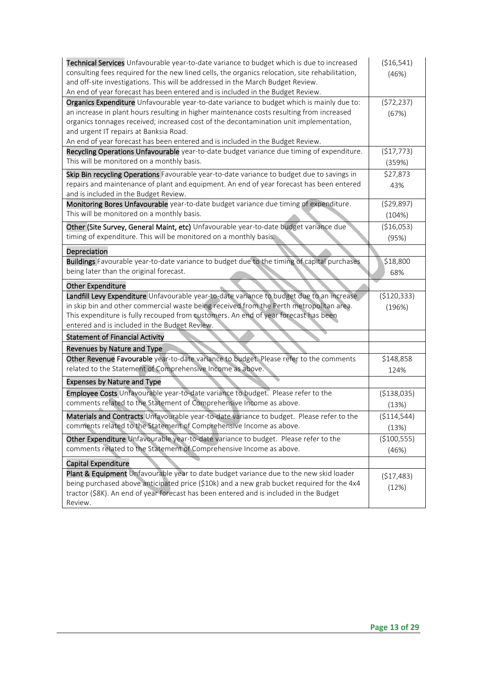<span id="page-12-0"></span>

| Technical Services Unfavourable year-to-date variance to budget which is due to increased<br>consulting fees required for the new lined cells, the organics relocation, site rehabilitation,<br>and off-site investigations. This will be addressed in the March Budget Review.<br>An end of year forecast has been entered and is included in the Budget Review. | (\$16,541)<br>(46%) |
|-------------------------------------------------------------------------------------------------------------------------------------------------------------------------------------------------------------------------------------------------------------------------------------------------------------------------------------------------------------------|---------------------|
| Organics Expenditure Unfavourable year-to-date variance to budget which is mainly due to:                                                                                                                                                                                                                                                                         | (572, 237)          |
| an increase in plant hours resulting in higher maintenance costs resulting from increased                                                                                                                                                                                                                                                                         | (67%)               |
| organics tonnages received; increased cost of the decontamination unit implementation,                                                                                                                                                                                                                                                                            |                     |
| and urgent IT repairs at Banksia Road.                                                                                                                                                                                                                                                                                                                            |                     |
| An end of year forecast has been entered and is included in the Budget Review.                                                                                                                                                                                                                                                                                    |                     |
| Recycling Operations Unfavourable year-to-date budget variance due timing of expenditure.                                                                                                                                                                                                                                                                         | (\$17,773)          |
| This will be monitored on a monthly basis.                                                                                                                                                                                                                                                                                                                        | (359%)              |
| Skip Bin recycling Operations Favourable year-to-date variance to budget due to savings in                                                                                                                                                                                                                                                                        | \$27,873            |
| repairs and maintenance of plant and equipment. An end of year forecast has been entered                                                                                                                                                                                                                                                                          | 43%                 |
| and is included in the Budget Review.                                                                                                                                                                                                                                                                                                                             |                     |
| Monitoring Bores Unfavourable year-to-date budget variance due timing of expenditure.                                                                                                                                                                                                                                                                             | (529, 897)          |
| This will be monitored on a monthly basis.                                                                                                                                                                                                                                                                                                                        | (104%)              |
| Other (Site Survey, General Maint, etc) Unfavourable year-to-date budget variance due                                                                                                                                                                                                                                                                             | (\$16,053)          |
| timing of expenditure. This will be monitored on a monthly basis.                                                                                                                                                                                                                                                                                                 | (95%)               |
| Depreciation                                                                                                                                                                                                                                                                                                                                                      |                     |
| Buildings Favourable year-to-date variance to budget due to the timing of capital purchases                                                                                                                                                                                                                                                                       | \$18,800            |
| being later than the original forecast.                                                                                                                                                                                                                                                                                                                           | 68%                 |
| <b>Other Expenditure</b>                                                                                                                                                                                                                                                                                                                                          |                     |
| Landfill Levy Expenditure Unfavourable year-to-date variance to budget due to an increase                                                                                                                                                                                                                                                                         | ( \$120, 333)       |
| in skip bin and other commercial waste being received from the Perth metropolitan area.                                                                                                                                                                                                                                                                           | (196%)              |
| This expenditure is fully recouped from customers. An end of year forecast has been                                                                                                                                                                                                                                                                               |                     |
| entered and is included in the Budget Review.                                                                                                                                                                                                                                                                                                                     |                     |
| <b>Statement of Financial Activity</b>                                                                                                                                                                                                                                                                                                                            |                     |
| Revenues by Nature and Type                                                                                                                                                                                                                                                                                                                                       |                     |
| Other Revenue Favourable year-to-date variance to budget. Please refer to the comments                                                                                                                                                                                                                                                                            | \$148,858           |
| related to the Statement of Comprehensive Income as above.                                                                                                                                                                                                                                                                                                        | 124%                |
| <b>Expenses by Nature and Type</b>                                                                                                                                                                                                                                                                                                                                |                     |
| Employee Costs Unfavourable year-to-date variance to budget. Please refer to the                                                                                                                                                                                                                                                                                  | ( \$138,035)        |
| comments related to the Statement of Comprehensive Income as above.                                                                                                                                                                                                                                                                                               | (13%)               |
| Materials and Contracts Unfavourable year-to-date variance to budget. Please refer to the                                                                                                                                                                                                                                                                         | ( \$114, 544)       |
| comments related to the Statement of Comprehensive Income as above.                                                                                                                                                                                                                                                                                               | (13%)               |
| Other Expenditure Unfavourable year-to-date variance to budget. Please refer to the                                                                                                                                                                                                                                                                               | ( \$100, 555)       |
| comments related to the Statement of Comprehensive Income as above.                                                                                                                                                                                                                                                                                               |                     |
|                                                                                                                                                                                                                                                                                                                                                                   | (46%)               |
| Capital Expenditure                                                                                                                                                                                                                                                                                                                                               |                     |
| Plant & Equipment Unfavourable year to date budget variance due to the new skid loader                                                                                                                                                                                                                                                                            | (\$17,483)          |
| being purchased above anticipated price (\$10k) and a new grab bucket required for the 4x4<br>tractor (\$8K). An end of year forecast has been entered and is included in the Budget                                                                                                                                                                              | (12%)               |
| Review.                                                                                                                                                                                                                                                                                                                                                           |                     |
|                                                                                                                                                                                                                                                                                                                                                                   |                     |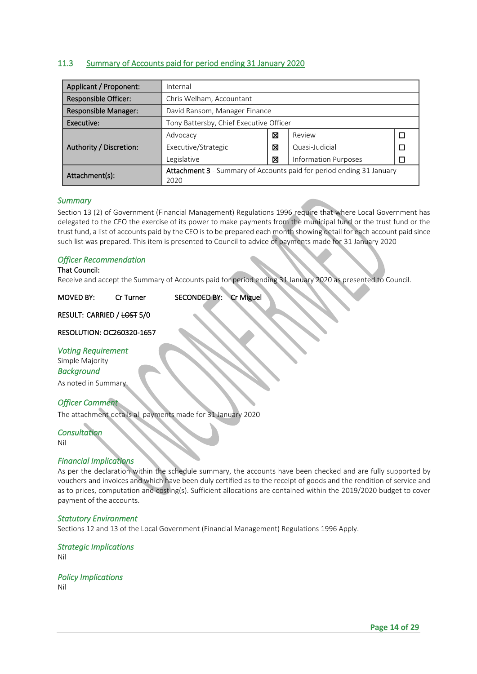#### 11.3 Summary of Accounts paid for period ending 31 January 2020

| Applicant / Proponent:      | Internal                                                             |   |                             |      |  |  |  |  |
|-----------------------------|----------------------------------------------------------------------|---|-----------------------------|------|--|--|--|--|
| <b>Responsible Officer:</b> | Chris Welham, Accountant                                             |   |                             |      |  |  |  |  |
| <b>Responsible Manager:</b> | David Ransom, Manager Finance                                        |   |                             |      |  |  |  |  |
| Executive:                  | Tony Battersby, Chief Executive Officer                              |   |                             |      |  |  |  |  |
|                             | Advocacy                                                             | X | Review                      |      |  |  |  |  |
| Authority / Discretion:     | Executive/Strategic                                                  | ⊠ | Quasi-Judicial              |      |  |  |  |  |
|                             | Legislative                                                          | X | <b>Information Purposes</b> |      |  |  |  |  |
| Attachment(s):              | Attachment 3 - Summary of Accounts paid for period ending 31 January |   |                             |      |  |  |  |  |
|                             |                                                                      |   |                             | 2020 |  |  |  |  |

#### *Summary*

Section 13 (2) of Government (Financial Management) Regulations 1996 require that where Local Government has delegated to the CEO the exercise of its power to make payments from the municipal fund or the trust fund or the trust fund, a list of accounts paid by the CEO is to be prepared each month showing detail for each account paid since such list was prepared. This item is presented to Council to advice of payments made for 31 January 2020

#### *Officer Recommendation*

#### That Council:

Receive and accept the Summary of Accounts paid for period ending 31 January 2020 as presented to Council.

#### MOVED BY: Cr Turner SECONDED BY: Cr Miguel

RESULT: CARRIED / LOST 5/0

#### RESOLUTION: OC260320-1657

*Voting Requirement*  Simple Majority *Background* 

As noted in Summary.

#### *Officer Comment*

The attachment details all payments made for 31 January 2020

#### *Consultation*

Nil

#### *Financial Implications*

As per the declaration within the schedule summary, the accounts have been checked and are fully supported by vouchers and invoices and which have been duly certified as to the receipt of goods and the rendition of service and as to prices, computation and costing(s). Sufficient allocations are contained within the 2019/2020 budget to cover payment of the accounts.

#### *Statutory Environment*

Sections 12 and 13 of the Local Government (Financial Management) Regulations 1996 Apply.

#### *Strategic Implications*

Nil

*Policy Implications*  Nil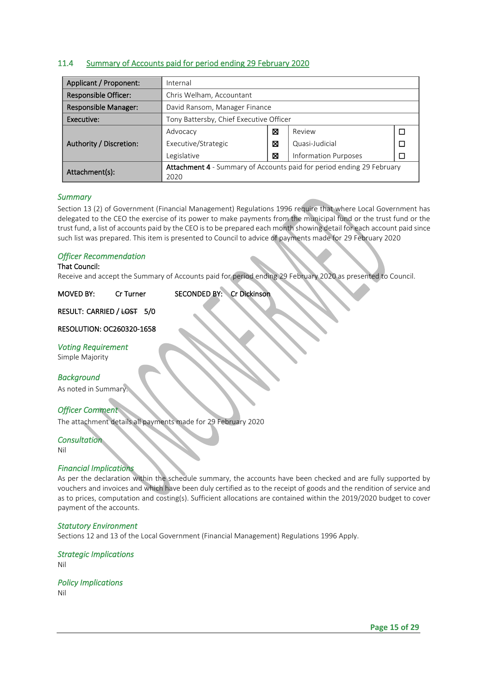#### <span id="page-14-0"></span>11.4 Summary of Accounts paid for period ending 29 February 2020

| Applicant / Proponent:      | Internal                                                              |   |                             |  |  |
|-----------------------------|-----------------------------------------------------------------------|---|-----------------------------|--|--|
| <b>Responsible Officer:</b> | Chris Welham, Accountant                                              |   |                             |  |  |
| <b>Responsible Manager:</b> | David Ransom, Manager Finance                                         |   |                             |  |  |
| Executive:                  | Tony Battersby, Chief Executive Officer                               |   |                             |  |  |
|                             | Advocacy                                                              | X | Review                      |  |  |
| Authority / Discretion:     | Executive/Strategic                                                   | ⊠ | Quasi-Judicial              |  |  |
|                             | Legislative                                                           | ⊠ | <b>Information Purposes</b> |  |  |
| Attachment(s):              | Attachment 4 - Summary of Accounts paid for period ending 29 February |   |                             |  |  |
|                             | 2020                                                                  |   |                             |  |  |

#### *Summary*

Section 13 (2) of Government (Financial Management) Regulations 1996 require that where Local Government has delegated to the CEO the exercise of its power to make payments from the municipal fund or the trust fund or the trust fund, a list of accounts paid by the CEO is to be prepared each month showing detail for each account paid since such list was prepared. This item is presented to Council to advice of payments made for 29 February 2020

#### *Officer Recommendation*

#### That Council:

Receive and accept the Summary of Accounts paid for period ending 29 February 2020 as presented to Council.

| <b>MOVED BY:</b> | Cr Turner | SECONDED BY: Cr Dickinson |  |
|------------------|-----------|---------------------------|--|
|------------------|-----------|---------------------------|--|

RESULT: CARRIED / LOST 5/0

#### RESOLUTION: OC260320-1658

*Voting Requirement* 

Simple Majority

#### *Background*

As noted in Summary.

#### *Officer Comment*

The attachment details all payments made for 29 February 2020

#### *Consultation*

Nil

#### *Financial Implications*

As per the declaration within the schedule summary, the accounts have been checked and are fully supported by vouchers and invoices and which have been duly certified as to the receipt of goods and the rendition of service and as to prices, computation and costing(s). Sufficient allocations are contained within the 2019/2020 budget to cover payment of the accounts.

#### *Statutory Environment*

Sections 12 and 13 of the Local Government (Financial Management) Regulations 1996 Apply.

*Strategic Implications*  Nil

*Policy Implications*  Nil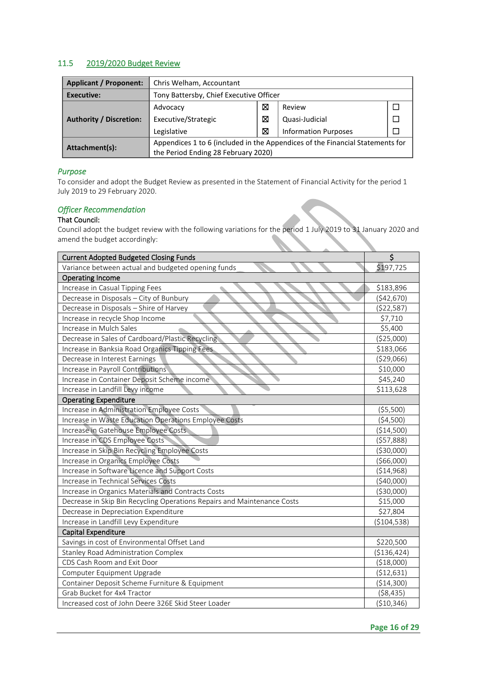#### <span id="page-15-0"></span>11.5 2019/2020 Budget Review

| <b>Applicant / Proponent:</b>  | Chris Welham, Accountant                                                      |   |                             |  |
|--------------------------------|-------------------------------------------------------------------------------|---|-----------------------------|--|
| Executive:                     | Tony Battersby, Chief Executive Officer                                       |   |                             |  |
|                                | ⊠<br>Review<br>Advocacy                                                       |   |                             |  |
| <b>Authority / Discretion:</b> | Executive/Strategic                                                           | ⊠ | Quasi-Judicial              |  |
|                                | Legislative                                                                   | ⊠ | <b>Information Purposes</b> |  |
| Attachment(s):                 | Appendices 1 to 6 (included in the Appendices of the Financial Statements for |   |                             |  |
|                                | the Period Ending 28 February 2020)                                           |   |                             |  |

#### *Purpose*

To consider and adopt the Budget Review as presented in the Statement of Financial Activity for the period 1 July 2019 to 29 February 2020.

#### *Officer Recommendation*

#### That Council:

Council adopt the budget review with the following variations for the period 1 July 2019 to 31 January 2020 and amend the budget accordingly:

| <b>Current Adopted Budgeted Closing Funds</b>                           | $\overline{\xi}$ |
|-------------------------------------------------------------------------|------------------|
| Variance between actual and budgeted opening funds                      | \$197,725        |
| <b>Operating Income</b>                                                 |                  |
| Increase in Casual Tipping Fees                                         | \$183,896        |
| Decrease in Disposals - City of Bunbury                                 | (\$42,670)       |
| Decrease in Disposals - Shire of Harvey                                 | (\$22,587)       |
| Increase in recycle Shop Income                                         | \$7,710          |
| Increase in Mulch Sales                                                 | \$5,400          |
| Decrease in Sales of Cardboard/Plastic Recycling                        | (\$25,000)       |
| Increase in Banksia Road Organics Tipping Fees                          | \$183,066        |
| Decrease in Interest Earnings                                           | ( \$29,066)      |
| Increase in Payroll Contributions                                       | \$10,000         |
| Increase in Container Deposit Scheme income                             | \$45,240         |
| Increase in Landfill Levy income                                        | \$113,628        |
| <b>Operating Expenditure</b>                                            |                  |
| Increase in Administration Employee Costs                               | ( \$5,500)       |
| Increase in Waste Education Operations Employee Costs                   | (\$4,500)        |
| Increase in Gatehouse Employee Costs                                    | (\$14,500)       |
| Increase in CDS Employee Costs                                          | (557,888)        |
| Increase in Skip Bin Recycling Employee Costs                           | ( \$30,000)      |
| Increase in Organics Employee Costs                                     | ( \$66,000)      |
| Increase in Software Licence and Support Costs                          | ( \$14, 968)     |
| Increase in Technical Services Costs                                    | (\$40,000)       |
| Increase in Organics Materials and Contracts Costs                      | ( \$30,000)      |
| Decrease in Skip Bin Recycling Operations Repairs and Maintenance Costs | \$15,000         |
| Decrease in Depreciation Expenditure                                    | \$27,804         |
| Increase in Landfill Levy Expenditure                                   | ( \$104, 538)    |
| Capital Expenditure                                                     |                  |
| Savings in cost of Environmental Offset Land                            | \$220,500        |
| Stanley Road Administration Complex                                     | ( \$136, 424)    |
| CDS Cash Room and Exit Door                                             | (\$18,000)       |
| Computer Equipment Upgrade                                              | ( \$12,631)      |
| Container Deposit Scheme Furniture & Equipment                          | ( \$14, 300)     |
| Grab Bucket for 4x4 Tractor                                             | ( \$8,435)       |
| Increased cost of John Deere 326E Skid Steer Loader                     | (\$10,346)       |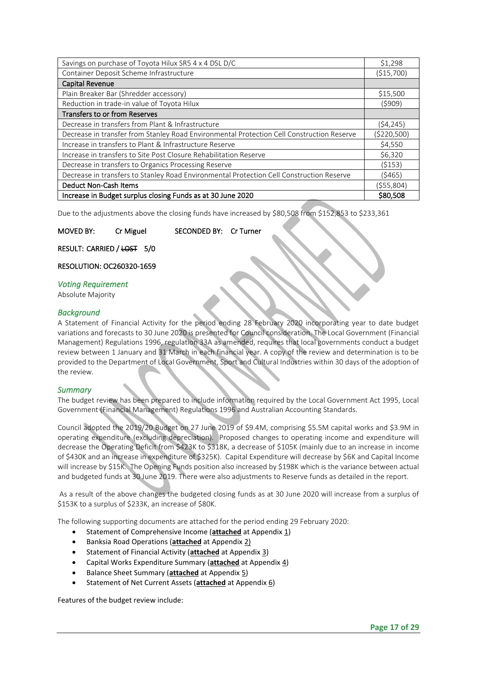| Savings on purchase of Toyota Hilux SR5 4 x 4 DSL D/C                                     | \$1,298       |
|-------------------------------------------------------------------------------------------|---------------|
| Container Deposit Scheme Infrastructure                                                   | (\$15,700)    |
| <b>Capital Revenue</b>                                                                    |               |
| Plain Breaker Bar (Shredder accessory)                                                    | \$15,500      |
| Reduction in trade-in value of Toyota Hilux                                               | (5909)        |
| <b>Transfers to or from Reserves</b>                                                      |               |
| Decrease in transfers from Plant & Infrastructure                                         | (54, 245)     |
| Decrease in transfer from Stanley Road Environmental Protection Cell Construction Reserve | ( \$220, 500) |
| Increase in transfers to Plant & Infrastructure Reserve                                   | \$4,550       |
| Increase in transfers to Site Post Closure Rehabilitation Reserve                         | \$6,320       |
| Decrease in transfers to Organics Processing Reserve                                      | (5153)        |
| Decrease in transfers to Stanley Road Environmental Protection Cell Construction Reserve  | (5465)        |
| <b>Deduct Non-Cash Items</b>                                                              | (555,804)     |
| Increase in Budget surplus closing Funds as at 30 June 2020                               | \$80,508      |

Due to the adjustments above the closing funds have increased by \$80,508 from \$152,853 to \$233,361

MOVED BY: Cr Miguel SECONDED BY: Cr Turner

RESULT: CARRIED / LOST 5/0

RESOLUTION: OC260320-1659

#### *Voting Requirement*

Absolute Majority

#### *Background*

A Statement of Financial Activity for the period ending 28 February 2020 incorporating year to date budget variations and forecasts to 30 June 2020 is presented for Council consideration. The Local Government (Financial Management) Regulations 1996, regulation 33A as amended, requires that local governments conduct a budget review between 1 January and 31 March in each financial year. A copy of the review and determination is to be provided to the Department of Local Government, Sport and Cultural Industries within 30 days of the adoption of the review.

#### *Summary*

The budget review has been prepared to include information required by the Local Government Act 1995, Local Government (Financial Management) Regulations 1996 and Australian Accounting Standards.

Council adopted the 2019/20 Budget on 27 June 2019 of \$9.4M, comprising \$5.5M capital works and \$3.9M in operating expenditure (excluding depreciation). Proposed changes to operating income and expenditure will decrease the Operating Deficit from \$423K to \$318K, a decrease of \$105K (mainly due to an increase in income of \$430K and an increase in expenditure of \$325K). Capital Expenditure will decrease by \$6K and Capital Income will increase by \$15K. The Opening Funds position also increased by \$198K which is the variance between actual and budgeted funds at 30 June 2019. There were also adjustments to Reserve funds as detailed in the report.

As a result of the above changes the budgeted closing funds as at 30 June 2020 will increase from a surplus of \$153K to a surplus of \$233K, an increase of \$80K.

The following supporting documents are attached for the period ending 29 February 2020:

- Statement of Comprehensive Income (**attached** at Appendix 1)
- Banksia Road Operations (**attached** at Appendix 2)
- Statement of Financial Activity (**attached** at Appendix 3)
- Capital Works Expenditure Summary (**attached** at Appendix 4)
- Balance Sheet Summary (**attached** at Appendix 5)
- Statement of Net Current Assets (**attached** at Appendix 6)

Features of the budget review include: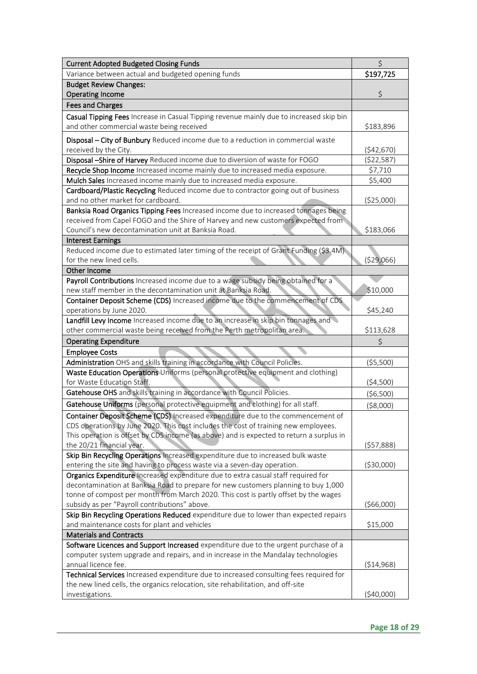| <b>Current Adopted Budgeted Closing Funds</b>                                                                                                                          | $\zeta$      |
|------------------------------------------------------------------------------------------------------------------------------------------------------------------------|--------------|
| Variance between actual and budgeted opening funds                                                                                                                     | \$197,725    |
| <b>Budget Review Changes:</b>                                                                                                                                          |              |
| <b>Operating Income</b>                                                                                                                                                | \$           |
| <b>Fees and Charges</b>                                                                                                                                                |              |
| Casual Tipping Fees Increase in Casual Tipping revenue mainly due to increased skip bin                                                                                |              |
| and other commercial waste being received                                                                                                                              | \$183,896    |
|                                                                                                                                                                        |              |
| Disposal - City of Bunbury Reduced income due to a reduction in commercial waste<br>received by the City.                                                              | (542, 670)   |
| Disposal -Shire of Harvey Reduced income due to diversion of waste for FOGO                                                                                            | (522, 587)   |
| Recycle Shop Income Increased income mainly due to increased media exposure.                                                                                           | \$7,710      |
| Mulch Sales Increased income mainly due to increased media exposure.                                                                                                   | \$5,400      |
| Cardboard/Plastic Recycling Reduced income due to contractor going out of business                                                                                     |              |
| and no other market for cardboard.                                                                                                                                     | (\$25,000)   |
| Banksia Road Organics Tipping Fees Increased income due to increased tonnages being                                                                                    |              |
| received from Capel FOGO and the Shire of Harvey and new customers expected from                                                                                       |              |
| Council's new decontamination unit at Banksia Road.                                                                                                                    | \$183,066    |
| <b>Interest Earnings</b>                                                                                                                                               |              |
| Reduced income due to estimated later timing of the receipt of Grant Funding (\$3.4M)                                                                                  |              |
| for the new lined cells.                                                                                                                                               | (529,066)    |
| Other Income                                                                                                                                                           |              |
| Payroll Contributions Increased income due to a wage subsidy being obtained for a                                                                                      |              |
| new staff member in the decontamination unit at Banksia Road.                                                                                                          | \$10,000     |
| Container Deposit Scheme (CDS) Increased income due to the commencement of CDS                                                                                         |              |
| operations by June 2020.                                                                                                                                               | \$45,240     |
| Landfill Levy Income Increased income due to an increase in skip bin tonnages and                                                                                      |              |
| other commercial waste being received from the Perth metropolitan area.                                                                                                | \$113,628    |
| <b>Operating Expenditure</b>                                                                                                                                           |              |
| <b>Employee Costs</b>                                                                                                                                                  |              |
| Administration OHS and skills training in accordance with Council Policies.                                                                                            | ( \$5,500)   |
| Waste Education Operations Uniforms (personal protective equipment and clothing)                                                                                       |              |
| for Waste Education Staff.                                                                                                                                             | ( \$4,500)   |
| Gatehouse OHS and skills training in accordance with Council Policies.                                                                                                 | (56,500)     |
| Gatehouse Uniforms (personal protective equipment and clothing) for all staff.                                                                                         |              |
|                                                                                                                                                                        | ( \$8,000)   |
| Container Deposit Scheme (CDS) Increased expenditure due to the commencement of<br>CDS operations by June 2020. This cost includes the cost of training new employees. |              |
| This operation is offset by CDS income (as above) and is expected to return a surplus in                                                                               |              |
| the 20/21 financial year.                                                                                                                                              | (557,888)    |
| Skip Bin Recycling Operations Increased expenditure due to increased bulk waste                                                                                        |              |
| entering the site and having to process waste via a seven-day operation.                                                                                               | ( \$30,000)  |
| Organics Expenditure Increased expenditure due to extra casual staff required for                                                                                      |              |
| decontamination at Banksia Road to prepare for new customers planning to buy 1,000                                                                                     |              |
| tonne of compost per month from March 2020. This cost is partly offset by the wages                                                                                    |              |
| subsidy as per "Payroll contributions" above.                                                                                                                          | (566,000)    |
| Skip Bin Recycling Operations Reduced expenditure due to lower than expected repairs                                                                                   |              |
| and maintenance costs for plant and vehicles                                                                                                                           | \$15,000     |
| <b>Materials and Contracts</b>                                                                                                                                         |              |
| Software Licences and Support Increased expenditure due to the urgent purchase of a                                                                                    |              |
| computer system upgrade and repairs, and in increase in the Mandalay technologies                                                                                      |              |
| annual licence fee.                                                                                                                                                    | ( \$14, 968) |
| Technical Services Increased expenditure due to increased consulting fees required for                                                                                 |              |
| the new lined cells, the organics relocation, site rehabilitation, and off-site                                                                                        |              |
| investigations.                                                                                                                                                        | (\$40,000)   |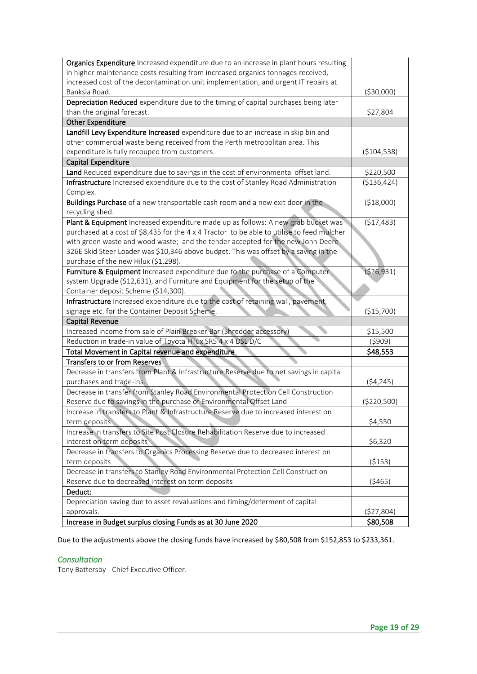| increased cost of the decontamination unit implementation, and urgent IT repairs at<br>Banksia Road.<br>( \$30,000)<br>Depreciation Reduced expenditure due to the timing of capital purchases being later<br>than the original forecast.<br>\$27,804<br><b>Other Expenditure</b><br>Landfill Levy Expenditure Increased expenditure due to an increase in skip bin and<br>other commercial waste being received from the Perth metropolitan area. This<br>expenditure is fully recouped from customers.<br>( \$104, 538)<br>Capital Expenditure<br>Land Reduced expenditure due to savings in the cost of environmental offset land.<br>\$220,500<br>Infrastructure Increased expenditure due to the cost of Stanley Road Administration<br>( \$136, 424)<br>Complex.<br>Buildings Purchase of a new transportable cash room and a new exit door in the<br>(\$18,000)<br>recycling shed.<br>Plant & Equipment Increased expenditure made up as follows: A new grab bucket was<br>(\$17,483)<br>purchased at a cost of \$8,435 for the 4 x 4 Tractor to be able to utilise to feed mulcher<br>with green waste and wood waste; and the tender accepted for the new John Deere<br>326E Skid Steer Loader was \$10,346 above budget. This was offset by a saving in the<br>purchase of the new Hilux (\$1,298).<br>Furniture & Equipment Increased expenditure due to the purchase of a Computer<br>(526, 931)<br>system Upgrade (\$12,631), and Furniture and Equipment for the setup of the<br>Container deposit Scheme (\$14,300).<br>Infrastructure Increased expenditure due to the cost of retaining wall, pavement,<br>signage etc. for the Container Deposit Scheme.<br>(\$15,700)<br>Capital Revenue<br>Increased income from sale of Plain Breaker Bar (Shredder accessory)<br>\$15,500<br>Reduction in trade-in value of Toyota Hilux SR5 4 x 4 DSL D/C<br>(5909)<br>Total Movement in Capital revenue and expenditure<br>\$48,553<br><b>Transfers to or from Reserves</b><br>Decrease in transfers from Plant & Infrastructure Reserve due to net savings in capital<br>purchases and trade-ins.<br>(54, 245)<br>Decrease in transfer from Stanley Road Environmental Protection Cell Construction<br>Reserve due to savings in the purchase of Environmental Offset Land<br>(\$220,500)<br>Increase in transfers to Plant & Infrastructure Reserve due to increased interest on<br>term deposits<br>\$4,550<br>Increase in transfers to Site Post Closure Rehabilitation Reserve due to increased<br>\$6,320<br>interest on term deposits<br>Decrease in transfers to Organics Processing Reserve due to decreased interest on<br>term deposits<br>( \$153)<br>Decrease in transfers to Stanley Road Environmental Protection Cell Construction<br>Reserve due to decreased interest on term deposits<br>(5465)<br>Deduct:<br>Depreciation saving due to asset revaluations and timing/deferment of capital<br>(\$27,804)<br>approvals. | Organics Expenditure Increased expenditure due to an increase in plant hours resulting |          |
|----------------------------------------------------------------------------------------------------------------------------------------------------------------------------------------------------------------------------------------------------------------------------------------------------------------------------------------------------------------------------------------------------------------------------------------------------------------------------------------------------------------------------------------------------------------------------------------------------------------------------------------------------------------------------------------------------------------------------------------------------------------------------------------------------------------------------------------------------------------------------------------------------------------------------------------------------------------------------------------------------------------------------------------------------------------------------------------------------------------------------------------------------------------------------------------------------------------------------------------------------------------------------------------------------------------------------------------------------------------------------------------------------------------------------------------------------------------------------------------------------------------------------------------------------------------------------------------------------------------------------------------------------------------------------------------------------------------------------------------------------------------------------------------------------------------------------------------------------------------------------------------------------------------------------------------------------------------------------------------------------------------------------------------------------------------------------------------------------------------------------------------------------------------------------------------------------------------------------------------------------------------------------------------------------------------------------------------------------------------------------------------------------------------------------------------------------------------------------------------------------------------------------------------------------------------------------------------------------------------------------------------------------------------------------------------------------------------------------------------------------------------------------------------------------------------------------------------------------------------------------------------------------------------------------------------------------|----------------------------------------------------------------------------------------|----------|
|                                                                                                                                                                                                                                                                                                                                                                                                                                                                                                                                                                                                                                                                                                                                                                                                                                                                                                                                                                                                                                                                                                                                                                                                                                                                                                                                                                                                                                                                                                                                                                                                                                                                                                                                                                                                                                                                                                                                                                                                                                                                                                                                                                                                                                                                                                                                                                                                                                                                                                                                                                                                                                                                                                                                                                                                                                                                                                                                                    | in higher maintenance costs resulting from increased organics tonnages received,       |          |
|                                                                                                                                                                                                                                                                                                                                                                                                                                                                                                                                                                                                                                                                                                                                                                                                                                                                                                                                                                                                                                                                                                                                                                                                                                                                                                                                                                                                                                                                                                                                                                                                                                                                                                                                                                                                                                                                                                                                                                                                                                                                                                                                                                                                                                                                                                                                                                                                                                                                                                                                                                                                                                                                                                                                                                                                                                                                                                                                                    |                                                                                        |          |
|                                                                                                                                                                                                                                                                                                                                                                                                                                                                                                                                                                                                                                                                                                                                                                                                                                                                                                                                                                                                                                                                                                                                                                                                                                                                                                                                                                                                                                                                                                                                                                                                                                                                                                                                                                                                                                                                                                                                                                                                                                                                                                                                                                                                                                                                                                                                                                                                                                                                                                                                                                                                                                                                                                                                                                                                                                                                                                                                                    |                                                                                        |          |
|                                                                                                                                                                                                                                                                                                                                                                                                                                                                                                                                                                                                                                                                                                                                                                                                                                                                                                                                                                                                                                                                                                                                                                                                                                                                                                                                                                                                                                                                                                                                                                                                                                                                                                                                                                                                                                                                                                                                                                                                                                                                                                                                                                                                                                                                                                                                                                                                                                                                                                                                                                                                                                                                                                                                                                                                                                                                                                                                                    |                                                                                        |          |
|                                                                                                                                                                                                                                                                                                                                                                                                                                                                                                                                                                                                                                                                                                                                                                                                                                                                                                                                                                                                                                                                                                                                                                                                                                                                                                                                                                                                                                                                                                                                                                                                                                                                                                                                                                                                                                                                                                                                                                                                                                                                                                                                                                                                                                                                                                                                                                                                                                                                                                                                                                                                                                                                                                                                                                                                                                                                                                                                                    |                                                                                        |          |
|                                                                                                                                                                                                                                                                                                                                                                                                                                                                                                                                                                                                                                                                                                                                                                                                                                                                                                                                                                                                                                                                                                                                                                                                                                                                                                                                                                                                                                                                                                                                                                                                                                                                                                                                                                                                                                                                                                                                                                                                                                                                                                                                                                                                                                                                                                                                                                                                                                                                                                                                                                                                                                                                                                                                                                                                                                                                                                                                                    |                                                                                        |          |
|                                                                                                                                                                                                                                                                                                                                                                                                                                                                                                                                                                                                                                                                                                                                                                                                                                                                                                                                                                                                                                                                                                                                                                                                                                                                                                                                                                                                                                                                                                                                                                                                                                                                                                                                                                                                                                                                                                                                                                                                                                                                                                                                                                                                                                                                                                                                                                                                                                                                                                                                                                                                                                                                                                                                                                                                                                                                                                                                                    |                                                                                        |          |
|                                                                                                                                                                                                                                                                                                                                                                                                                                                                                                                                                                                                                                                                                                                                                                                                                                                                                                                                                                                                                                                                                                                                                                                                                                                                                                                                                                                                                                                                                                                                                                                                                                                                                                                                                                                                                                                                                                                                                                                                                                                                                                                                                                                                                                                                                                                                                                                                                                                                                                                                                                                                                                                                                                                                                                                                                                                                                                                                                    |                                                                                        |          |
|                                                                                                                                                                                                                                                                                                                                                                                                                                                                                                                                                                                                                                                                                                                                                                                                                                                                                                                                                                                                                                                                                                                                                                                                                                                                                                                                                                                                                                                                                                                                                                                                                                                                                                                                                                                                                                                                                                                                                                                                                                                                                                                                                                                                                                                                                                                                                                                                                                                                                                                                                                                                                                                                                                                                                                                                                                                                                                                                                    |                                                                                        |          |
|                                                                                                                                                                                                                                                                                                                                                                                                                                                                                                                                                                                                                                                                                                                                                                                                                                                                                                                                                                                                                                                                                                                                                                                                                                                                                                                                                                                                                                                                                                                                                                                                                                                                                                                                                                                                                                                                                                                                                                                                                                                                                                                                                                                                                                                                                                                                                                                                                                                                                                                                                                                                                                                                                                                                                                                                                                                                                                                                                    |                                                                                        |          |
|                                                                                                                                                                                                                                                                                                                                                                                                                                                                                                                                                                                                                                                                                                                                                                                                                                                                                                                                                                                                                                                                                                                                                                                                                                                                                                                                                                                                                                                                                                                                                                                                                                                                                                                                                                                                                                                                                                                                                                                                                                                                                                                                                                                                                                                                                                                                                                                                                                                                                                                                                                                                                                                                                                                                                                                                                                                                                                                                                    |                                                                                        |          |
|                                                                                                                                                                                                                                                                                                                                                                                                                                                                                                                                                                                                                                                                                                                                                                                                                                                                                                                                                                                                                                                                                                                                                                                                                                                                                                                                                                                                                                                                                                                                                                                                                                                                                                                                                                                                                                                                                                                                                                                                                                                                                                                                                                                                                                                                                                                                                                                                                                                                                                                                                                                                                                                                                                                                                                                                                                                                                                                                                    |                                                                                        |          |
|                                                                                                                                                                                                                                                                                                                                                                                                                                                                                                                                                                                                                                                                                                                                                                                                                                                                                                                                                                                                                                                                                                                                                                                                                                                                                                                                                                                                                                                                                                                                                                                                                                                                                                                                                                                                                                                                                                                                                                                                                                                                                                                                                                                                                                                                                                                                                                                                                                                                                                                                                                                                                                                                                                                                                                                                                                                                                                                                                    |                                                                                        |          |
|                                                                                                                                                                                                                                                                                                                                                                                                                                                                                                                                                                                                                                                                                                                                                                                                                                                                                                                                                                                                                                                                                                                                                                                                                                                                                                                                                                                                                                                                                                                                                                                                                                                                                                                                                                                                                                                                                                                                                                                                                                                                                                                                                                                                                                                                                                                                                                                                                                                                                                                                                                                                                                                                                                                                                                                                                                                                                                                                                    |                                                                                        |          |
|                                                                                                                                                                                                                                                                                                                                                                                                                                                                                                                                                                                                                                                                                                                                                                                                                                                                                                                                                                                                                                                                                                                                                                                                                                                                                                                                                                                                                                                                                                                                                                                                                                                                                                                                                                                                                                                                                                                                                                                                                                                                                                                                                                                                                                                                                                                                                                                                                                                                                                                                                                                                                                                                                                                                                                                                                                                                                                                                                    |                                                                                        |          |
|                                                                                                                                                                                                                                                                                                                                                                                                                                                                                                                                                                                                                                                                                                                                                                                                                                                                                                                                                                                                                                                                                                                                                                                                                                                                                                                                                                                                                                                                                                                                                                                                                                                                                                                                                                                                                                                                                                                                                                                                                                                                                                                                                                                                                                                                                                                                                                                                                                                                                                                                                                                                                                                                                                                                                                                                                                                                                                                                                    |                                                                                        |          |
|                                                                                                                                                                                                                                                                                                                                                                                                                                                                                                                                                                                                                                                                                                                                                                                                                                                                                                                                                                                                                                                                                                                                                                                                                                                                                                                                                                                                                                                                                                                                                                                                                                                                                                                                                                                                                                                                                                                                                                                                                                                                                                                                                                                                                                                                                                                                                                                                                                                                                                                                                                                                                                                                                                                                                                                                                                                                                                                                                    |                                                                                        |          |
|                                                                                                                                                                                                                                                                                                                                                                                                                                                                                                                                                                                                                                                                                                                                                                                                                                                                                                                                                                                                                                                                                                                                                                                                                                                                                                                                                                                                                                                                                                                                                                                                                                                                                                                                                                                                                                                                                                                                                                                                                                                                                                                                                                                                                                                                                                                                                                                                                                                                                                                                                                                                                                                                                                                                                                                                                                                                                                                                                    |                                                                                        |          |
|                                                                                                                                                                                                                                                                                                                                                                                                                                                                                                                                                                                                                                                                                                                                                                                                                                                                                                                                                                                                                                                                                                                                                                                                                                                                                                                                                                                                                                                                                                                                                                                                                                                                                                                                                                                                                                                                                                                                                                                                                                                                                                                                                                                                                                                                                                                                                                                                                                                                                                                                                                                                                                                                                                                                                                                                                                                                                                                                                    |                                                                                        |          |
|                                                                                                                                                                                                                                                                                                                                                                                                                                                                                                                                                                                                                                                                                                                                                                                                                                                                                                                                                                                                                                                                                                                                                                                                                                                                                                                                                                                                                                                                                                                                                                                                                                                                                                                                                                                                                                                                                                                                                                                                                                                                                                                                                                                                                                                                                                                                                                                                                                                                                                                                                                                                                                                                                                                                                                                                                                                                                                                                                    |                                                                                        |          |
|                                                                                                                                                                                                                                                                                                                                                                                                                                                                                                                                                                                                                                                                                                                                                                                                                                                                                                                                                                                                                                                                                                                                                                                                                                                                                                                                                                                                                                                                                                                                                                                                                                                                                                                                                                                                                                                                                                                                                                                                                                                                                                                                                                                                                                                                                                                                                                                                                                                                                                                                                                                                                                                                                                                                                                                                                                                                                                                                                    |                                                                                        |          |
|                                                                                                                                                                                                                                                                                                                                                                                                                                                                                                                                                                                                                                                                                                                                                                                                                                                                                                                                                                                                                                                                                                                                                                                                                                                                                                                                                                                                                                                                                                                                                                                                                                                                                                                                                                                                                                                                                                                                                                                                                                                                                                                                                                                                                                                                                                                                                                                                                                                                                                                                                                                                                                                                                                                                                                                                                                                                                                                                                    |                                                                                        |          |
|                                                                                                                                                                                                                                                                                                                                                                                                                                                                                                                                                                                                                                                                                                                                                                                                                                                                                                                                                                                                                                                                                                                                                                                                                                                                                                                                                                                                                                                                                                                                                                                                                                                                                                                                                                                                                                                                                                                                                                                                                                                                                                                                                                                                                                                                                                                                                                                                                                                                                                                                                                                                                                                                                                                                                                                                                                                                                                                                                    |                                                                                        |          |
|                                                                                                                                                                                                                                                                                                                                                                                                                                                                                                                                                                                                                                                                                                                                                                                                                                                                                                                                                                                                                                                                                                                                                                                                                                                                                                                                                                                                                                                                                                                                                                                                                                                                                                                                                                                                                                                                                                                                                                                                                                                                                                                                                                                                                                                                                                                                                                                                                                                                                                                                                                                                                                                                                                                                                                                                                                                                                                                                                    |                                                                                        |          |
|                                                                                                                                                                                                                                                                                                                                                                                                                                                                                                                                                                                                                                                                                                                                                                                                                                                                                                                                                                                                                                                                                                                                                                                                                                                                                                                                                                                                                                                                                                                                                                                                                                                                                                                                                                                                                                                                                                                                                                                                                                                                                                                                                                                                                                                                                                                                                                                                                                                                                                                                                                                                                                                                                                                                                                                                                                                                                                                                                    |                                                                                        |          |
|                                                                                                                                                                                                                                                                                                                                                                                                                                                                                                                                                                                                                                                                                                                                                                                                                                                                                                                                                                                                                                                                                                                                                                                                                                                                                                                                                                                                                                                                                                                                                                                                                                                                                                                                                                                                                                                                                                                                                                                                                                                                                                                                                                                                                                                                                                                                                                                                                                                                                                                                                                                                                                                                                                                                                                                                                                                                                                                                                    |                                                                                        |          |
|                                                                                                                                                                                                                                                                                                                                                                                                                                                                                                                                                                                                                                                                                                                                                                                                                                                                                                                                                                                                                                                                                                                                                                                                                                                                                                                                                                                                                                                                                                                                                                                                                                                                                                                                                                                                                                                                                                                                                                                                                                                                                                                                                                                                                                                                                                                                                                                                                                                                                                                                                                                                                                                                                                                                                                                                                                                                                                                                                    |                                                                                        |          |
|                                                                                                                                                                                                                                                                                                                                                                                                                                                                                                                                                                                                                                                                                                                                                                                                                                                                                                                                                                                                                                                                                                                                                                                                                                                                                                                                                                                                                                                                                                                                                                                                                                                                                                                                                                                                                                                                                                                                                                                                                                                                                                                                                                                                                                                                                                                                                                                                                                                                                                                                                                                                                                                                                                                                                                                                                                                                                                                                                    |                                                                                        |          |
|                                                                                                                                                                                                                                                                                                                                                                                                                                                                                                                                                                                                                                                                                                                                                                                                                                                                                                                                                                                                                                                                                                                                                                                                                                                                                                                                                                                                                                                                                                                                                                                                                                                                                                                                                                                                                                                                                                                                                                                                                                                                                                                                                                                                                                                                                                                                                                                                                                                                                                                                                                                                                                                                                                                                                                                                                                                                                                                                                    |                                                                                        |          |
|                                                                                                                                                                                                                                                                                                                                                                                                                                                                                                                                                                                                                                                                                                                                                                                                                                                                                                                                                                                                                                                                                                                                                                                                                                                                                                                                                                                                                                                                                                                                                                                                                                                                                                                                                                                                                                                                                                                                                                                                                                                                                                                                                                                                                                                                                                                                                                                                                                                                                                                                                                                                                                                                                                                                                                                                                                                                                                                                                    |                                                                                        |          |
|                                                                                                                                                                                                                                                                                                                                                                                                                                                                                                                                                                                                                                                                                                                                                                                                                                                                                                                                                                                                                                                                                                                                                                                                                                                                                                                                                                                                                                                                                                                                                                                                                                                                                                                                                                                                                                                                                                                                                                                                                                                                                                                                                                                                                                                                                                                                                                                                                                                                                                                                                                                                                                                                                                                                                                                                                                                                                                                                                    |                                                                                        |          |
|                                                                                                                                                                                                                                                                                                                                                                                                                                                                                                                                                                                                                                                                                                                                                                                                                                                                                                                                                                                                                                                                                                                                                                                                                                                                                                                                                                                                                                                                                                                                                                                                                                                                                                                                                                                                                                                                                                                                                                                                                                                                                                                                                                                                                                                                                                                                                                                                                                                                                                                                                                                                                                                                                                                                                                                                                                                                                                                                                    |                                                                                        |          |
|                                                                                                                                                                                                                                                                                                                                                                                                                                                                                                                                                                                                                                                                                                                                                                                                                                                                                                                                                                                                                                                                                                                                                                                                                                                                                                                                                                                                                                                                                                                                                                                                                                                                                                                                                                                                                                                                                                                                                                                                                                                                                                                                                                                                                                                                                                                                                                                                                                                                                                                                                                                                                                                                                                                                                                                                                                                                                                                                                    |                                                                                        |          |
|                                                                                                                                                                                                                                                                                                                                                                                                                                                                                                                                                                                                                                                                                                                                                                                                                                                                                                                                                                                                                                                                                                                                                                                                                                                                                                                                                                                                                                                                                                                                                                                                                                                                                                                                                                                                                                                                                                                                                                                                                                                                                                                                                                                                                                                                                                                                                                                                                                                                                                                                                                                                                                                                                                                                                                                                                                                                                                                                                    |                                                                                        |          |
|                                                                                                                                                                                                                                                                                                                                                                                                                                                                                                                                                                                                                                                                                                                                                                                                                                                                                                                                                                                                                                                                                                                                                                                                                                                                                                                                                                                                                                                                                                                                                                                                                                                                                                                                                                                                                                                                                                                                                                                                                                                                                                                                                                                                                                                                                                                                                                                                                                                                                                                                                                                                                                                                                                                                                                                                                                                                                                                                                    |                                                                                        |          |
|                                                                                                                                                                                                                                                                                                                                                                                                                                                                                                                                                                                                                                                                                                                                                                                                                                                                                                                                                                                                                                                                                                                                                                                                                                                                                                                                                                                                                                                                                                                                                                                                                                                                                                                                                                                                                                                                                                                                                                                                                                                                                                                                                                                                                                                                                                                                                                                                                                                                                                                                                                                                                                                                                                                                                                                                                                                                                                                                                    |                                                                                        |          |
|                                                                                                                                                                                                                                                                                                                                                                                                                                                                                                                                                                                                                                                                                                                                                                                                                                                                                                                                                                                                                                                                                                                                                                                                                                                                                                                                                                                                                                                                                                                                                                                                                                                                                                                                                                                                                                                                                                                                                                                                                                                                                                                                                                                                                                                                                                                                                                                                                                                                                                                                                                                                                                                                                                                                                                                                                                                                                                                                                    |                                                                                        |          |
|                                                                                                                                                                                                                                                                                                                                                                                                                                                                                                                                                                                                                                                                                                                                                                                                                                                                                                                                                                                                                                                                                                                                                                                                                                                                                                                                                                                                                                                                                                                                                                                                                                                                                                                                                                                                                                                                                                                                                                                                                                                                                                                                                                                                                                                                                                                                                                                                                                                                                                                                                                                                                                                                                                                                                                                                                                                                                                                                                    |                                                                                        |          |
|                                                                                                                                                                                                                                                                                                                                                                                                                                                                                                                                                                                                                                                                                                                                                                                                                                                                                                                                                                                                                                                                                                                                                                                                                                                                                                                                                                                                                                                                                                                                                                                                                                                                                                                                                                                                                                                                                                                                                                                                                                                                                                                                                                                                                                                                                                                                                                                                                                                                                                                                                                                                                                                                                                                                                                                                                                                                                                                                                    |                                                                                        |          |
|                                                                                                                                                                                                                                                                                                                                                                                                                                                                                                                                                                                                                                                                                                                                                                                                                                                                                                                                                                                                                                                                                                                                                                                                                                                                                                                                                                                                                                                                                                                                                                                                                                                                                                                                                                                                                                                                                                                                                                                                                                                                                                                                                                                                                                                                                                                                                                                                                                                                                                                                                                                                                                                                                                                                                                                                                                                                                                                                                    |                                                                                        |          |
|                                                                                                                                                                                                                                                                                                                                                                                                                                                                                                                                                                                                                                                                                                                                                                                                                                                                                                                                                                                                                                                                                                                                                                                                                                                                                                                                                                                                                                                                                                                                                                                                                                                                                                                                                                                                                                                                                                                                                                                                                                                                                                                                                                                                                                                                                                                                                                                                                                                                                                                                                                                                                                                                                                                                                                                                                                                                                                                                                    |                                                                                        |          |
|                                                                                                                                                                                                                                                                                                                                                                                                                                                                                                                                                                                                                                                                                                                                                                                                                                                                                                                                                                                                                                                                                                                                                                                                                                                                                                                                                                                                                                                                                                                                                                                                                                                                                                                                                                                                                                                                                                                                                                                                                                                                                                                                                                                                                                                                                                                                                                                                                                                                                                                                                                                                                                                                                                                                                                                                                                                                                                                                                    |                                                                                        |          |
|                                                                                                                                                                                                                                                                                                                                                                                                                                                                                                                                                                                                                                                                                                                                                                                                                                                                                                                                                                                                                                                                                                                                                                                                                                                                                                                                                                                                                                                                                                                                                                                                                                                                                                                                                                                                                                                                                                                                                                                                                                                                                                                                                                                                                                                                                                                                                                                                                                                                                                                                                                                                                                                                                                                                                                                                                                                                                                                                                    |                                                                                        |          |
|                                                                                                                                                                                                                                                                                                                                                                                                                                                                                                                                                                                                                                                                                                                                                                                                                                                                                                                                                                                                                                                                                                                                                                                                                                                                                                                                                                                                                                                                                                                                                                                                                                                                                                                                                                                                                                                                                                                                                                                                                                                                                                                                                                                                                                                                                                                                                                                                                                                                                                                                                                                                                                                                                                                                                                                                                                                                                                                                                    | Increase in Budget surplus closing Funds as at 30 June 2020                            | \$80,508 |

Due to the adjustments above the closing funds have increased by \$80,508 from \$152,853 to \$233,361.

# *Consultation*

Tony Battersby - Chief Executive Officer.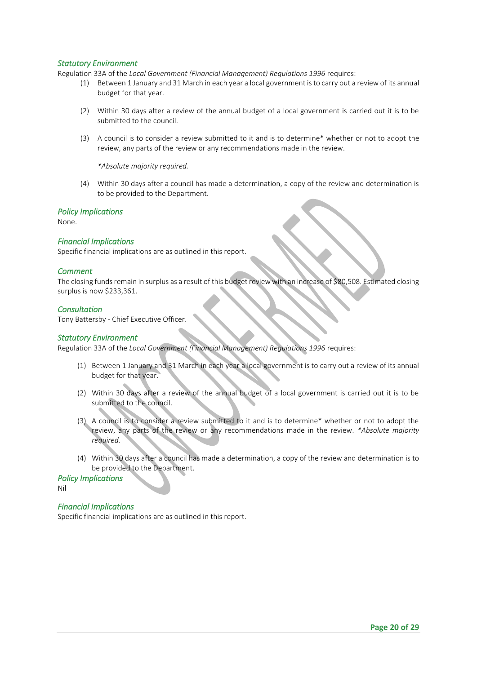#### *Statutory Environment*

Regulation 33A of the *Local Government (Financial Management) Regulations 1996* requires:

- (1) Between 1 January and 31 March in each year a local government is to carry out a review of its annual budget for that year.
- (2) Within 30 days after a review of the annual budget of a local government is carried out it is to be submitted to the council.
- (3) A council is to consider a review submitted to it and is to determine\* whether or not to adopt the review, any parts of the review or any recommendations made in the review.

*\*Absolute majority required.*

(4) Within 30 days after a council has made a determination, a copy of the review and determination is to be provided to the Department.

#### *Policy Implications*

None.

#### *Financial Implications*

Specific financial implications are as outlined in this report.

#### *Comment*

The closing funds remain in surplus as a result of this budget review with an increase of \$80,508. Estimated closing surplus is now \$233,361.

#### *Consultation*

Tony Battersby - Chief Executive Officer.

#### *Statutory Environment*

Regulation 33A of the *Local Government (Financial Management) Regulations 1996* requires:

- (1) Between 1 January and 31 March in each year a local government is to carry out a review of its annual budget for that year.
- (2) Within 30 days after a review of the annual budget of a local government is carried out it is to be submitted to the council.
- (3) A council is to consider a review submitted to it and is to determine\* whether or not to adopt the review, any parts of the review or any recommendations made in the review. *\*Absolute majority required.*
- (4) Within 30 days after a council has made a determination, a copy of the review and determination is to be provided to the Department.

*Policy Implications* 

Nil

#### *Financial Implications*

Specific financial implications are as outlined in this report.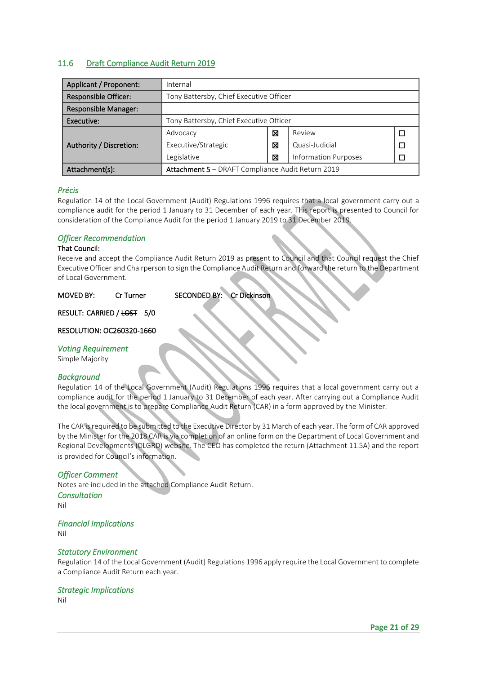### <span id="page-20-0"></span>11.6 Draft Compliance Audit Return 2019

| Applicant / Proponent:      | Internal                                          |   |                             |  |
|-----------------------------|---------------------------------------------------|---|-----------------------------|--|
| <b>Responsible Officer:</b> | Tony Battersby, Chief Executive Officer           |   |                             |  |
| <b>Responsible Manager:</b> |                                                   |   |                             |  |
| Executive:                  | Tony Battersby, Chief Executive Officer           |   |                             |  |
|                             | Review<br>⊠<br>Advocacy                           |   |                             |  |
| Authority / Discretion:     | Executive/Strategic<br>Quasi-Judicial<br>⊠        |   |                             |  |
|                             | Legislative                                       | ⊠ | <b>Information Purposes</b> |  |
| Attachment(s):              | Attachment 5 - DRAFT Compliance Audit Return 2019 |   |                             |  |

#### *Précis*

Regulation 14 of the Local Government (Audit) Regulations 1996 requires that a local government carry out a compliance audit for the period 1 January to 31 December of each year. This report is presented to Council for consideration of the Compliance Audit for the period 1 January 2019 to 31 December 2019.

#### *Officer Recommendation*

#### That Council:

Receive and accept the Compliance Audit Return 2019 as present to Council and that Council request the Chief Executive Officer and Chairperson to sign the Compliance Audit Return and forward the return to the Department of Local Government.

MOVED BY: Cr Turner SECONDED BY: Cr Dickinson

RESULT: CARRIED / LOST 5/0

#### RESOLUTION: OC260320-1660

#### *Voting Requirement*

Simple Majority

#### *Background*

Regulation 14 of the Local Government (Audit) Regulations 1996 requires that a local government carry out a compliance audit for the period 1 January to 31 December of each year. After carrying out a Compliance Audit the local government is to prepare Compliance Audit Return (CAR) in a form approved by the Minister.

The CAR is required to be submitted to the Executive Director by 31 March of each year. The form of CAR approved by the Minister for the 2018 CAR is via completion of an online form on the Department of Local Government and Regional Developments (DLGRD) website. The CEO has completed the return (Attachment 11.5A) and the report is provided for Council's information.

#### *Officer Comment*

Notes are included in the attached Compliance Audit Return. *Consultation*  Nil

#### *Financial Implications*

Nil

#### *Statutory Environment*

Regulation 14 of the Local Government (Audit) Regulations 1996 apply require the Local Government to complete a Compliance Audit Return each year.

#### *Strategic Implications*

Nil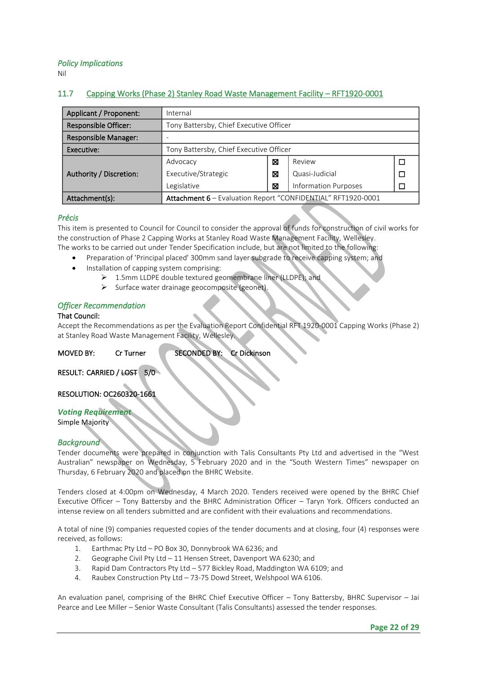*Policy Implications* 

Nil

# <span id="page-21-0"></span>11.7 Capping Works (Phase 2) Stanley Road Waste Management Facility – RFT1920-0001

| Applicant / Proponent:      | Internal                                                     |             |                             |  |
|-----------------------------|--------------------------------------------------------------|-------------|-----------------------------|--|
| <b>Responsible Officer:</b> | Tony Battersby, Chief Executive Officer                      |             |                             |  |
| <b>Responsible Manager:</b> |                                                              |             |                             |  |
| Executive:                  | Tony Battersby, Chief Executive Officer                      |             |                             |  |
|                             | Advocacy                                                     | Review<br>X |                             |  |
| Authority / Discretion:     | Executive/Strategic<br>Quasi-Judicial<br>⊠                   |             |                             |  |
|                             | Legislative                                                  | X           | <b>Information Purposes</b> |  |
| Attachment(s):              | Attachment 6 - Evaluation Report "CONFIDENTIAL" RFT1920-0001 |             |                             |  |

#### *Précis*

This item is presented to Council for Council to consider the approval of funds for construction of civil works for the construction of Phase 2 Capping Works at Stanley Road Waste Management Facility, Wellesley. The works to be carried out under Tender Specification include, but are not limited to the following:

- Preparation of 'Principal placed' 300mm sand layer subgrade to receive capping system; and
- Installation of capping system comprising:
	- 1.5mm LLDPE double textured geomembrane liner (LLDPE); and
		- ➢ Surface water drainage geocomposite (geonet).

#### *Officer Recommendation*

#### That Council:

Accept the Recommendations as per the Evaluation Report Confidential RFT 1920-0001 Capping Works (Phase 2) at Stanley Road Waste Management Facility, Wellesley.

MOVED BY: Cr Turner SECONDED BY: Cr Dickinson

RESULT: CARRIED / LOST 5/0

RESOLUTION: OC260320-1661

#### *Voting Requirement*

Simple Majority

#### *Background*

Tender documents were prepared in conjunction with Talis Consultants Pty Ltd and advertised in the "West Australian" newspaper on Wednesday, 5 February 2020 and in the "South Western Times" newspaper on Thursday, 6 February 2020 and placed on the BHRC Website.

Tenders closed at 4:00pm on Wednesday, 4 March 2020. Tenders received were opened by the BHRC Chief Executive Officer – Tony Battersby and the BHRC Administration Officer – Taryn York. Officers conducted an intense review on all tenders submitted and are confident with their evaluations and recommendations.

A total of nine (9) companies requested copies of the tender documents and at closing, four (4) responses were received, as follows:

- 1. Earthmac Pty Ltd PO Box 30, Donnybrook WA 6236; and
- 2. Geographe Civil Pty Ltd 11 Hensen Street, Davenport WA 6230; and
- 3. Rapid Dam Contractors Pty Ltd 577 Bickley Road, Maddington WA 6109; and
- 4. Raubex Construction Pty Ltd 73-75 Dowd Street, Welshpool WA 6106.

An evaluation panel, comprising of the BHRC Chief Executive Officer – Tony Battersby, BHRC Supervisor – Jai Pearce and Lee Miller – Senior Waste Consultant (Talis Consultants) assessed the tender responses.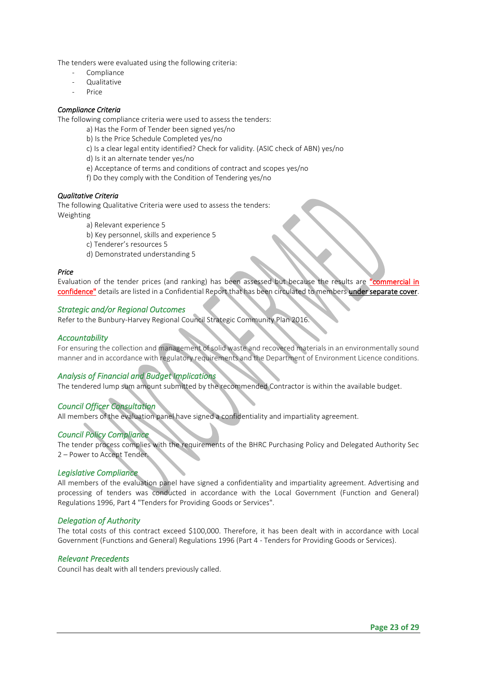The tenders were evaluated using the following criteria:

- Compliance
- Qualitative
- Price

#### *Compliance Criteria*

The following compliance criteria were used to assess the tenders:

- a) Has the Form of Tender been signed yes/no
- b) Is the Price Schedule Completed yes/no
- c) Is a clear legal entity identified? Check for validity. (ASIC check of ABN) yes/no
- d) Is it an alternate tender yes/no
- e) Acceptance of terms and conditions of contract and scopes yes/no
- f) Do they comply with the Condition of Tendering yes/no

#### *Qualitative Criteria*

The following Qualitative Criteria were used to assess the tenders: Weighting

- a) Relevant experience 5
- b) Key personnel, skills and experience 5
- c) Tenderer's resources 5
- d) Demonstrated understanding 5

#### *Price*

Evaluation of the tender prices (and ranking) has been assessed but because the results are "commercial in confidence" details are listed in a Confidential Report that has been circulated to members under separate cover.

#### *Strategic and/or Regional Outcomes*

Refer to the Bunbury-Harvey Regional Council Strategic Community Plan 2016.

#### *Accountability*

For ensuring the collection and management of solid waste and recovered materials in an environmentally sound manner and in accordance with regulatory requirements and the Department of Environment Licence conditions.

#### *Analysis of Financial and Budget Implications*

The tendered lump sum amount submitted by the recommended Contractor is within the available budget.

#### *Council Officer Consultation*

All members of the evaluation panel have signed a confidentiality and impartiality agreement.

#### *Council Policy Compliance*

The tender process complies with the requirements of the BHRC Purchasing Policy and Delegated Authority Sec 2 – Power to Accept Tender.

#### *Legislative Compliance*

All members of the evaluation panel have signed a confidentiality and impartiality agreement. Advertising and processing of tenders was conducted in accordance with the Local Government (Function and General) Regulations 1996, Part 4 "Tenders for Providing Goods or Services".

#### *Delegation of Authority*

The total costs of this contract exceed \$100,000. Therefore, it has been dealt with in accordance with Local Government (Functions and General) Regulations 1996 (Part 4 - Tenders for Providing Goods or Services).

#### *Relevant Precedents*

Council has dealt with all tenders previously called.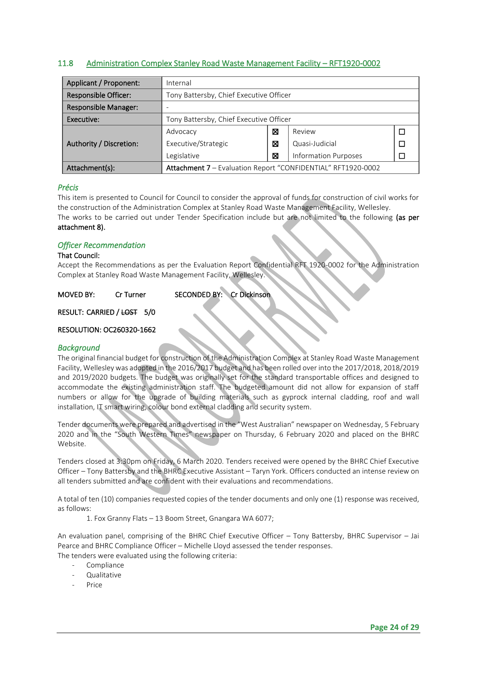#### <span id="page-23-0"></span>11.8 Administration Complex Stanley Road Waste Management Facility – RFT1920-0002

| Applicant / Proponent:      | Internal                                                     |   |                             |  |
|-----------------------------|--------------------------------------------------------------|---|-----------------------------|--|
| <b>Responsible Officer:</b> | Tony Battersby, Chief Executive Officer                      |   |                             |  |
| <b>Responsible Manager:</b> |                                                              |   |                             |  |
| Executive:                  | Tony Battersby, Chief Executive Officer                      |   |                             |  |
|                             | Review<br>Advocacy<br>⊠                                      |   |                             |  |
| Authority / Discretion:     | Quasi-Judicial<br>Executive/Strategic<br>⊠                   |   |                             |  |
|                             | Legislative                                                  | ⊠ | <b>Information Purposes</b> |  |
| Attachment(s):              | Attachment 7 - Evaluation Report "CONFIDENTIAL" RFT1920-0002 |   |                             |  |

#### *Précis*

This item is presented to Council for Council to consider the approval of funds for construction of civil works for the construction of the Administration Complex at Stanley Road Waste Management Facility, Wellesley. The works to be carried out under Tender Specification include but are not limited to the following (as per attachment 8).

#### *Officer Recommendation*

#### That Council:

Accept the Recommendations as per the Evaluation Report Confidential RFT 1920-0002 for the Administration Complex at Stanley Road Waste Management Facility, Wellesley.

MOVED BY: Cr Turner SECONDED BY: Cr Dickinson

RESULT: CARRIED / LOST 5/0

#### RESOLUTION: OC260320-1662

#### *Background*

The original financial budget for construction of the Administration Complex at Stanley Road Waste Management Facility, Wellesley was adopted in the 2016/2017 budget and has been rolled over into the 2017/2018, 2018/2019 and 2019/2020 budgets. The budget was originally set for the standard transportable offices and designed to accommodate the existing administration staff. The budgeted amount did not allow for expansion of staff numbers or allow for the upgrade of building materials such as gyprock internal cladding, roof and wall installation, IT smart wiring, colour bond external cladding and security system.

Tender documents were prepared and advertised in the "West Australian" newspaper on Wednesday, 5 February 2020 and in the "South Western Times" newspaper on Thursday, 6 February 2020 and placed on the BHRC Website.

Tenders closed at 3:30pm on Friday, 6 March 2020. Tenders received were opened by the BHRC Chief Executive Officer – Tony Battersby and the BHRC Executive Assistant – Taryn York. Officers conducted an intense review on all tenders submitted and are confident with their evaluations and recommendations.

A total of ten (10) companies requested copies of the tender documents and only one (1) response was received, as follows:

1. Fox Granny Flats – 13 Boom Street, Gnangara WA 6077;

An evaluation panel, comprising of the BHRC Chief Executive Officer – Tony Battersby, BHRC Supervisor – Jai Pearce and BHRC Compliance Officer – Michelle Lloyd assessed the tender responses. The tenders were evaluated using the following criteria:

- Compliance
- Qualitative
- Price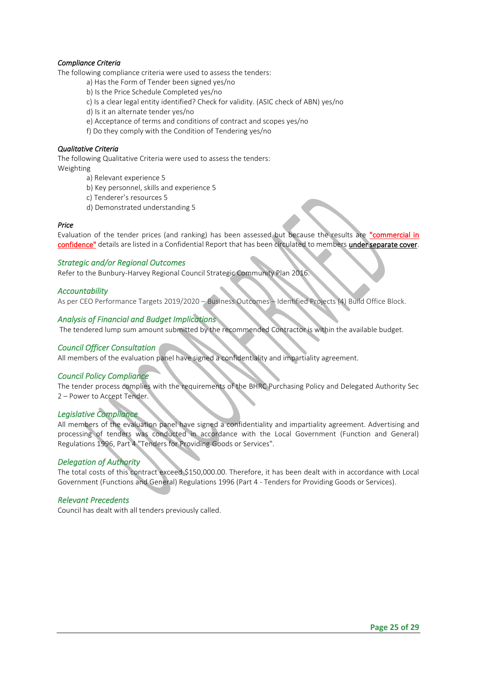#### *Compliance Criteria*

The following compliance criteria were used to assess the tenders:

- a) Has the Form of Tender been signed yes/no
- b) Is the Price Schedule Completed yes/no
- c) Is a clear legal entity identified? Check for validity. (ASIC check of ABN) yes/no
- d) Is it an alternate tender yes/no
- e) Acceptance of terms and conditions of contract and scopes yes/no
- f) Do they comply with the Condition of Tendering yes/no

#### *Qualitative Criteria*

The following Qualitative Criteria were used to assess the tenders: Weighting

- a) Relevant experience 5
- b) Key personnel, skills and experience 5
- c) Tenderer's resources 5
- d) Demonstrated understanding 5

#### *Price*

Evaluation of the tender prices (and ranking) has been assessed but because the results are "commercial in confidence" details are listed in a Confidential Report that has been circulated to members under separate cover.

#### *Strategic and/or Regional Outcomes*

Refer to the Bunbury-Harvey Regional Council Strategic Community Plan 2016.

#### *Accountability*

As per CEO Performance Targets 2019/2020 – Business Outcomes – Identified Projects (4) Build Office Block.

#### *Analysis of Financial and Budget Implications*

The tendered lump sum amount submitted by the recommended Contractor is within the available budget.

#### *Council Officer Consultation*

All members of the evaluation panel have signed a confidentiality and impartiality agreement.

#### *Council Policy Compliance*

The tender process complies with the requirements of the BHRC Purchasing Policy and Delegated Authority Sec 2 – Power to Accept Tender.

#### *Legislative Compliance*

All members of the evaluation panel have signed a confidentiality and impartiality agreement. Advertising and processing of tenders was conducted in accordance with the Local Government (Function and General) Regulations 1996, Part 4 "Tenders for Providing Goods or Services".

#### *Delegation of Authority*

The total costs of this contract exceed \$150,000.00. Therefore, it has been dealt with in accordance with Local Government (Functions and General) Regulations 1996 (Part 4 - Tenders for Providing Goods or Services).

#### *Relevant Precedents*

Council has dealt with all tenders previously called.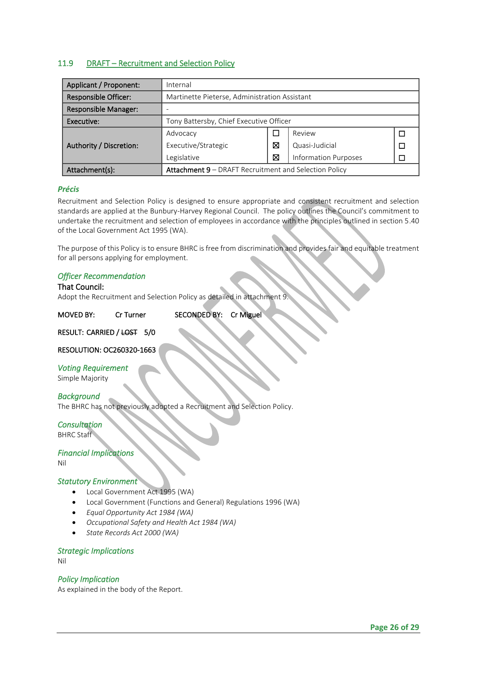### <span id="page-25-0"></span>11.9 DRAFT – Recruitment and Selection Policy

| Applicant / Proponent:  | Internal                                              |   |                             |  |
|-------------------------|-------------------------------------------------------|---|-----------------------------|--|
| Responsible Officer:    | Martinette Pieterse, Administration Assistant         |   |                             |  |
| Responsible Manager:    |                                                       |   |                             |  |
| Executive:              | Tony Battersby, Chief Executive Officer               |   |                             |  |
|                         | Review<br>Advocacy                                    |   |                             |  |
| Authority / Discretion: | Executive/Strategic<br>⊠<br>Quasi-Judicial            |   |                             |  |
|                         | Legislative                                           | ⊠ | <b>Information Purposes</b> |  |
| Attachment(s):          | Attachment 9 - DRAFT Recruitment and Selection Policy |   |                             |  |

#### *Précis*

Recruitment and Selection Policy is designed to ensure appropriate and consistent recruitment and selection standards are applied at the Bunbury-Harvey Regional Council. The policy outlines the Council's commitment to undertake the recruitment and selection of employees in accordance with the principles outlined in section 5.40 of the Local Government Act 1995 (WA).

The purpose of this Policy is to ensure BHRC is free from discrimination and provides fair and equitable treatment for all persons applying for employment.

#### *Officer Recommendation*

#### That Council:

Adopt the Recruitment and Selection Policy as detailed in attachment 9.

| <b>MOVED BY:</b> | Cr Turner | SECONDED BY: Cr Miguel |  |
|------------------|-----------|------------------------|--|
|------------------|-----------|------------------------|--|

#### RESULT: CARRIED / LOST 5/0

#### RESOLUTION: OC260320-1663

#### *Voting Requirement*

Simple Majority

#### *Background*

The BHRC has not previously adopted a Recruitment and Selection Policy.

# *Consultation*

BHRC Staff

#### *Financial Implications*

Nil

#### *Statutory Environment*

- Local Government Act 1995 (WA)
- Local Government (Functions and General) Regulations 1996 (WA)
- *Equal Opportunity Act 1984 (WA)*
- *Occupational Safety and Health Act 1984 (WA)*
- *State Records Act 2000 (WA)*

#### *Strategic Implications*

Nil

#### *Policy Implication*

As explained in the body of the Report.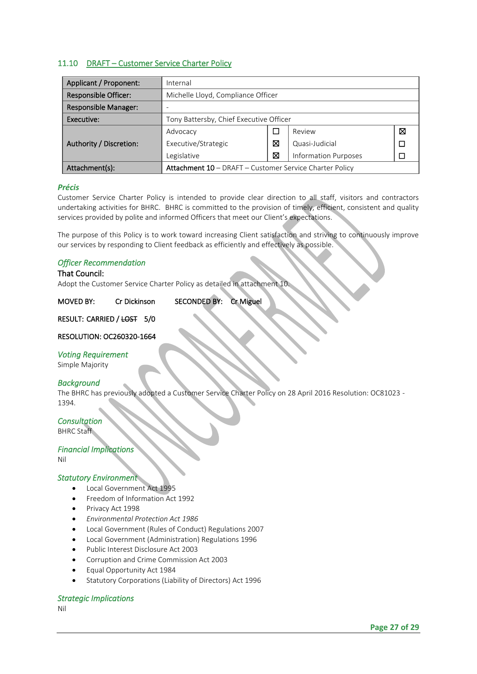### <span id="page-26-0"></span>11.10 DRAFT – Customer Service Charter Policy

| Applicant / Proponent:      | Internal                                                       |   |                             |  |
|-----------------------------|----------------------------------------------------------------|---|-----------------------------|--|
| <b>Responsible Officer:</b> | Michelle Lloyd, Compliance Officer                             |   |                             |  |
| <b>Responsible Manager:</b> |                                                                |   |                             |  |
| Executive:                  | Tony Battersby, Chief Executive Officer                        |   |                             |  |
|                             | Review<br>⊠<br>Advocacy                                        |   |                             |  |
| Authority / Discretion:     | ⊠<br>Executive/Strategic<br>Quasi-Judicial                     |   |                             |  |
|                             | Legislative                                                    | ⊠ | <b>Information Purposes</b> |  |
| Attachment(s):              | <b>Attachment 10</b> – DRAFT – Customer Service Charter Policy |   |                             |  |

#### *Précis*

Customer Service Charter Policy is intended to provide clear direction to all staff, visitors and contractors undertaking activities for BHRC. BHRC is committed to the provision of timely, efficient, consistent and quality services provided by polite and informed Officers that meet our Client's expectations.

The purpose of this Policy is to work toward increasing Client satisfaction and striving to continuously improve our services by responding to Client feedback as efficiently and effectively as possible.

#### *Officer Recommendation*

#### That Council:

Adopt the Customer Service Charter Policy as detailed in attachment 10.

| <b>MOVED BY:</b> | Cr Dickinson | SECONDED BY: Cr Miguel |  |
|------------------|--------------|------------------------|--|
|------------------|--------------|------------------------|--|

#### RESULT: CARRIED / LOST 5/0

#### RESOLUTION: OC260320-1664

#### *Voting Requirement*

Simple Majority

#### *Background*

The BHRC has previously adopted a Customer Service Charter Policy on 28 April 2016 Resolution: OC81023 - 1394.

# *Consultation*

BHRC Staff

#### *Financial Implications*

Nil

#### *Statutory Environment*

- Local Government Act 1995
- Freedom of Information Act 1992
- Privacy Act 1998
- *Environmental Protection Act 1986*
- Local Government (Rules of Conduct) Regulations 2007
- Local Government (Administration) Regulations 1996
- Public Interest Disclosure Act 2003
- Corruption and Crime Commission Act 2003
- Equal Opportunity Act 1984
- Statutory Corporations (Liability of Directors) Act 1996

#### *Strategic Implications*

Nil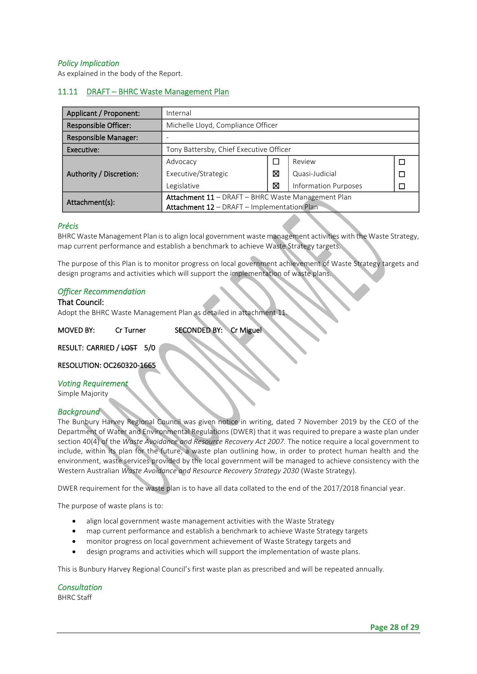#### *Policy Implication*

As explained in the body of the Report.

### <span id="page-27-0"></span>11.11 DRAFT – BHRC Waste Management Plan

| Applicant / Proponent:      | Internal                                           |   |                             |  |
|-----------------------------|----------------------------------------------------|---|-----------------------------|--|
| Responsible Officer:        | Michelle Lloyd, Compliance Officer                 |   |                             |  |
| <b>Responsible Manager:</b> |                                                    |   |                             |  |
| Executive:                  | Tony Battersby, Chief Executive Officer            |   |                             |  |
| Authority / Discretion:     | Advocacy                                           |   | Review                      |  |
|                             | Executive/Strategic                                | ⊠ | Quasi-Judicial              |  |
|                             | Legislative                                        | ⊠ | <b>Information Purposes</b> |  |
| Attachment(s):              | Attachment 11 - DRAFT - BHRC Waste Management Plan |   |                             |  |
|                             | Attachment 12 - DRAFT - Implementation Plan        |   |                             |  |

#### *Précis*

BHRC Waste Management Plan is to align local government waste management activities with the Waste Strategy, map current performance and establish a benchmark to achieve Waste Strategy targets.

The purpose of this Plan is to monitor progress on local government achievement of Waste Strategy targets and design programs and activities which will support the implementation of waste plans.

#### *Officer Recommendation*

#### That Council:

Adopt the BHRC Waste Management Plan as detailed in attachment 11.

MOVED BY: Cr Turner SECONDED BY: Cr Miguel

#### RESULT: CARRIED / LOST 5/0

RESOLUTION: OC260320-1665

#### *Voting Requirement*

Simple Majority

#### *Background*

The Bunbury Harvey Regional Council was given notice in writing, dated 7 November 2019 by the CEO of the Department of Water and Environmental Regulations (DWER) that it was required to prepare a waste plan under section 40(4) of the *Waste Avoidance and Resource Recovery Act 2007.* The notice require a local government to include, within its plan for the future, a waste plan outlining how, in order to protect human health and the environment, waste services provided by the local government will be managed to achieve consistency with the Western Australian *Waste Avoidance and Resource Recovery Strategy 2030* (Waste Strategy).

DWER requirement for the waste plan is to have all data collated to the end of the 2017/2018 financial year.

The purpose of waste plans is to:

- align local government waste management activities with the Waste Strategy
- map current performance and establish a benchmark to achieve Waste Strategy targets
- monitor progress on local government achievement of Waste Strategy targets and
- design programs and activities which will support the implementation of waste plans.

This is Bunbury Harvey Regional Council's first waste plan as prescribed and will be repeated annually.

*Consultation*  BHRC Staff